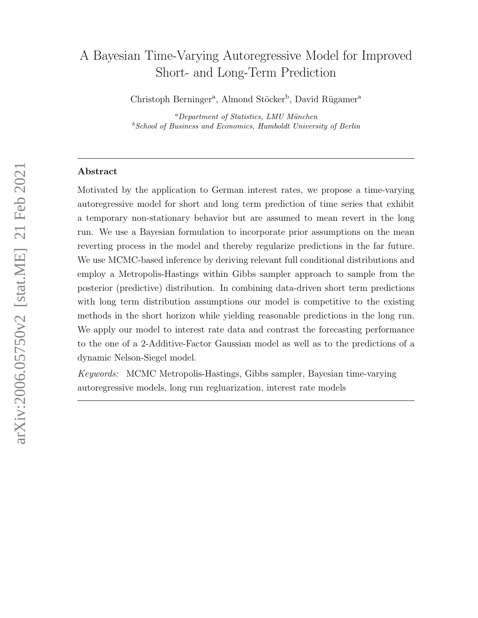# A Bayesian Time-Varying Autoregressive Model for Improved Short- and Long-Term Prediction

Christoph Berninger<sup>a</sup>, Almond Stöcker<sup>b</sup>, David Rügamer<sup>a</sup>

 ${}^{a}$ Department of Statistics, LMU München  $b$  School of Business and Economics, Humboldt University of Berlin

### Abstract

Motivated by the application to German interest rates, we propose a time-varying autoregressive model for short and long term prediction of time series that exhibit a temporary non-stationary behavior but are assumed to mean revert in the long run. We use a Bayesian formulation to incorporate prior assumptions on the mean reverting process in the model and thereby regularize predictions in the far future. We use MCMC-based inference by deriving relevant full conditional distributions and employ a Metropolis-Hastings within Gibbs sampler approach to sample from the posterior (predictive) distribution. In combining data-driven short term predictions with long term distribution assumptions our model is competitive to the existing methods in the short horizon while yielding reasonable predictions in the long run. We apply our model to interest rate data and contrast the forecasting performance to the one of a 2-Additive-Factor Gaussian model as well as to the predictions of a dynamic Nelson-Siegel model.

Keywords: MCMC Metropolis-Hastings, Gibbs sampler, Bayesian time-varying autoregressive models, long run regluarization, interest rate models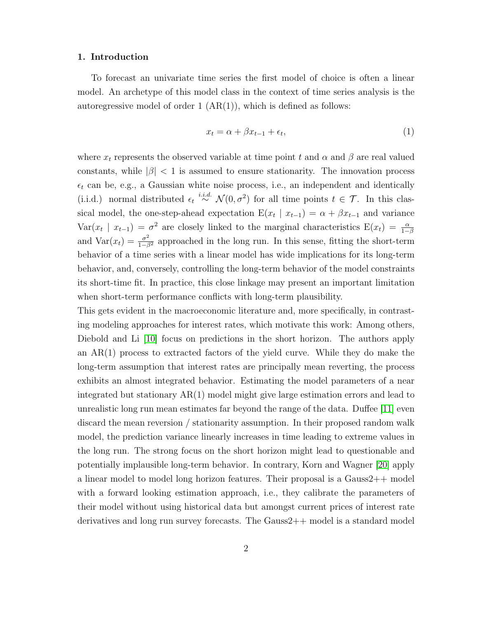### 1. Introduction

To forecast an univariate time series the first model of choice is often a linear model. An archetype of this model class in the context of time series analysis is the autoregressive model of order  $1 (AR(1))$ , which is defined as follows:

<span id="page-1-0"></span>
$$
x_t = \alpha + \beta x_{t-1} + \epsilon_t,\tag{1}
$$

where  $x_t$  represents the observed variable at time point t and  $\alpha$  and  $\beta$  are real valued constants, while  $|\beta|$  < 1 is assumed to ensure stationarity. The innovation process  $\epsilon_t$  can be, e.g., a Gaussian white noise process, i.e., an independent and identically (i.i.d.) normal distributed  $\epsilon_t \stackrel{i.i.d.}{\sim} \mathcal{N}(0, \sigma^2)$  for all time points  $t \in \mathcal{T}$ . In this classical model, the one-step-ahead expectation  $E(x_t | x_{t-1}) = \alpha + \beta x_{t-1}$  and variance Var( $x_t$  |  $x_{t-1}$ ) =  $\sigma^2$  are closely linked to the marginal characteristics  $E(x_t) = \frac{\alpha}{1-\beta}$ and  $\text{Var}(x_t) = \frac{\sigma^2}{1-\beta^2}$  approached in the long run. In this sense, fitting the short-term behavior of a time series with a linear model has wide implications for its long-term behavior, and, conversely, controlling the long-term behavior of the model constraints its short-time fit. In practice, this close linkage may present an important limitation when short-term performance conflicts with long-term plausibility.

This gets evident in the macroeconomic literature and, more specifically, in contrasting modeling approaches for interest rates, which motivate this work: Among others, Diebold and Li [\[10\]](#page-28-0) focus on predictions in the short horizon. The authors apply an AR(1) process to extracted factors of the yield curve. While they do make the long-term assumption that interest rates are principally mean reverting, the process exhibits an almost integrated behavior. Estimating the model parameters of a near integrated but stationary AR(1) model might give large estimation errors and lead to unrealistic long run mean estimates far beyond the range of the data. Duffee [\[11\]](#page-28-1) even discard the mean reversion / stationarity assumption. In their proposed random walk model, the prediction variance linearly increases in time leading to extreme values in the long run. The strong focus on the short horizon might lead to questionable and potentially implausible long-term behavior. In contrary, Korn and Wagner [\[20\]](#page-29-0) apply a linear model to model long horizon features. Their proposal is a Gauss2++ model with a forward looking estimation approach, i.e., they calibrate the parameters of their model without using historical data but amongst current prices of interest rate derivatives and long run survey forecasts. The Gauss2++ model is a standard model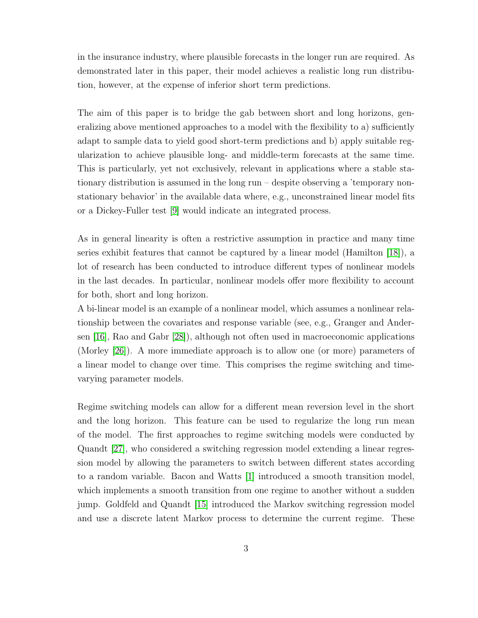in the insurance industry, where plausible forecasts in the longer run are required. As demonstrated later in this paper, their model achieves a realistic long run distribution, however, at the expense of inferior short term predictions.

The aim of this paper is to bridge the gab between short and long horizons, generalizing above mentioned approaches to a model with the flexibility to a) sufficiently adapt to sample data to yield good short-term predictions and b) apply suitable regularization to achieve plausible long- and middle-term forecasts at the same time. This is particularly, yet not exclusively, relevant in applications where a stable stationary distribution is assumed in the long run – despite observing a 'temporary nonstationary behavior' in the available data where, e.g., unconstrained linear model fits or a Dickey-Fuller test [\[9\]](#page-28-2) would indicate an integrated process.

As in general linearity is often a restrictive assumption in practice and many time series exhibit features that cannot be captured by a linear model (Hamilton [\[18\]](#page-29-1)), a lot of research has been conducted to introduce different types of nonlinear models in the last decades. In particular, nonlinear models offer more flexibility to account for both, short and long horizon.

A bi-linear model is an example of a nonlinear model, which assumes a nonlinear relationship between the covariates and response variable (see, e.g., Granger and Andersen [\[16\]](#page-29-2), Rao and Gabr [\[28\]](#page-30-0)), although not often used in macroeconomic applications (Morley [\[26\]](#page-30-1)). A more immediate approach is to allow one (or more) parameters of a linear model to change over time. This comprises the regime switching and timevarying parameter models.

Regime switching models can allow for a different mean reversion level in the short and the long horizon. This feature can be used to regularize the long run mean of the model. The first approaches to regime switching models were conducted by Quandt [\[27\]](#page-30-2), who considered a switching regression model extending a linear regression model by allowing the parameters to switch between different states according to a random variable. Bacon and Watts [\[1\]](#page-28-3) introduced a smooth transition model, which implements a smooth transition from one regime to another without a sudden jump. Goldfeld and Quandt [\[15\]](#page-29-3) introduced the Markov switching regression model and use a discrete latent Markov process to determine the current regime. These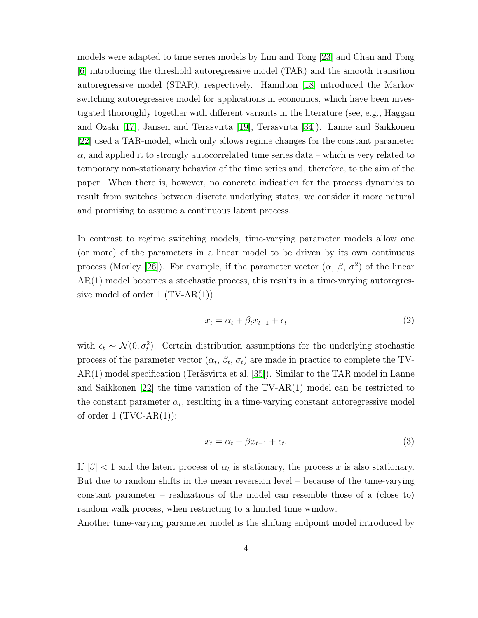models were adapted to time series models by Lim and Tong [\[23\]](#page-30-3) and Chan and Tong [\[6\]](#page-28-4) introducing the threshold autoregressive model (TAR) and the smooth transition autoregressive model (STAR), respectively. Hamilton [\[18\]](#page-29-1) introduced the Markov switching autoregressive model for applications in economics, which have been investigated thoroughly together with different variants in the literature (see, e.g., Haggan and Ozaki [\[17\]](#page-29-4), Jansen and Teräsvirta [\[19\]](#page-29-5), Teräsvirta [\[34\]](#page-31-0)). Lanne and Saikkonen [\[22\]](#page-30-4) used a TAR-model, which only allows regime changes for the constant parameter  $\alpha$ , and applied it to strongly autocorrelated time series data – which is very related to temporary non-stationary behavior of the time series and, therefore, to the aim of the paper. When there is, however, no concrete indication for the process dynamics to result from switches between discrete underlying states, we consider it more natural and promising to assume a continuous latent process.

In contrast to regime switching models, time-varying parameter models allow one (or more) of the parameters in a linear model to be driven by its own continuous process (Morley [\[26\]](#page-30-1)). For example, if the parameter vector  $(\alpha, \beta, \sigma^2)$  of the linear AR(1) model becomes a stochastic process, this results in a time-varying autoregressive model of order  $1 (TV-AR(1))$ 

$$
x_t = \alpha_t + \beta_t x_{t-1} + \epsilon_t \tag{2}
$$

with  $\epsilon_t \sim \mathcal{N}(0, \sigma_t^2)$ . Certain distribution assumptions for the underlying stochastic process of the parameter vector  $(\alpha_t, \beta_t, \sigma_t)$  are made in practice to complete the TV- $AR(1)$  model specification (Teräsvirta et al. [\[35\]](#page-31-1)). Similar to the TAR model in Lanne and Saikkonen [\[22\]](#page-30-4) the time variation of the TV-AR(1) model can be restricted to the constant parameter  $\alpha_t$ , resulting in a time-varying constant autoregressive model of order 1  $(TVC-AR(1))$ :

$$
x_t = \alpha_t + \beta x_{t-1} + \epsilon_t. \tag{3}
$$

If  $|\beta|$  < 1 and the latent process of  $\alpha_t$  is stationary, the process x is also stationary. But due to random shifts in the mean reversion level – because of the time-varying constant parameter – realizations of the model can resemble those of a (close to) random walk process, when restricting to a limited time window.

Another time-varying parameter model is the shifting endpoint model introduced by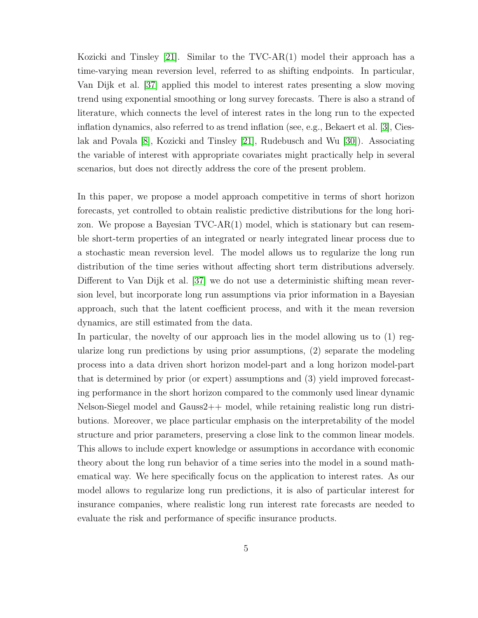Kozicki and Tinsley [\[21\]](#page-29-6). Similar to the TVC-AR(1) model their approach has a time-varying mean reversion level, referred to as shifting endpoints. In particular, Van Dijk et al. [\[37\]](#page-31-2) applied this model to interest rates presenting a slow moving trend using exponential smoothing or long survey forecasts. There is also a strand of literature, which connects the level of interest rates in the long run to the expected inflation dynamics, also referred to as trend inflation (see, e.g., Bekaert et al. [\[3\]](#page-28-5), Cieslak and Povala [\[8\]](#page-28-6), Kozicki and Tinsley [\[21\]](#page-29-6), Rudebusch and Wu [\[30\]](#page-30-5)). Associating the variable of interest with appropriate covariates might practically help in several scenarios, but does not directly address the core of the present problem.

In this paper, we propose a model approach competitive in terms of short horizon forecasts, yet controlled to obtain realistic predictive distributions for the long horizon. We propose a Bayesian TVC-AR(1) model, which is stationary but can resemble short-term properties of an integrated or nearly integrated linear process due to a stochastic mean reversion level. The model allows us to regularize the long run distribution of the time series without affecting short term distributions adversely. Different to Van Dijk et al. [\[37\]](#page-31-2) we do not use a deterministic shifting mean reversion level, but incorporate long run assumptions via prior information in a Bayesian approach, such that the latent coefficient process, and with it the mean reversion dynamics, are still estimated from the data.

In particular, the novelty of our approach lies in the model allowing us to (1) regularize long run predictions by using prior assumptions, (2) separate the modeling process into a data driven short horizon model-part and a long horizon model-part that is determined by prior (or expert) assumptions and (3) yield improved forecasting performance in the short horizon compared to the commonly used linear dynamic Nelson-Siegel model and Gauss2++ model, while retaining realistic long run distributions. Moreover, we place particular emphasis on the interpretability of the model structure and prior parameters, preserving a close link to the common linear models. This allows to include expert knowledge or assumptions in accordance with economic theory about the long run behavior of a time series into the model in a sound mathematical way. We here specifically focus on the application to interest rates. As our model allows to regularize long run predictions, it is also of particular interest for insurance companies, where realistic long run interest rate forecasts are needed to evaluate the risk and performance of specific insurance products.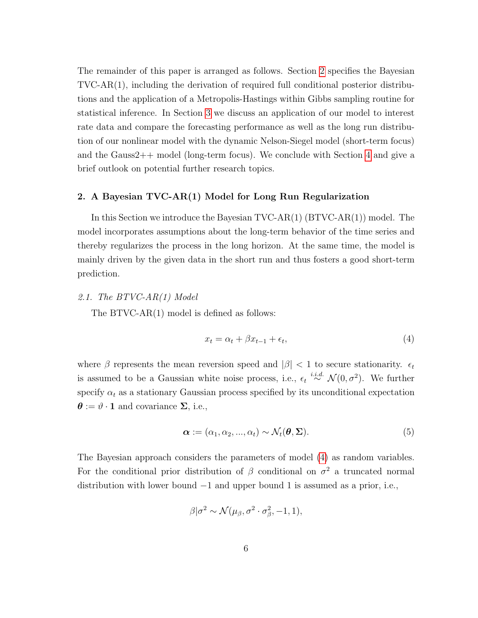The remainder of this paper is arranged as follows. Section [2](#page-5-0) specifies the Bayesian TVC-AR(1), including the derivation of required full conditional posterior distributions and the application of a Metropolis-Hastings within Gibbs sampling routine for statistical inference. In Section [3](#page-17-0) we discuss an application of our model to interest rate data and compare the forecasting performance as well as the long run distribution of our nonlinear model with the dynamic Nelson-Siegel model (short-term focus) and the Gauss2++ model (long-term focus). We conclude with Section [4](#page-26-0) and give a brief outlook on potential further research topics.

### <span id="page-5-0"></span>2. A Bayesian TVC-AR(1) Model for Long Run Regularization

In this Section we introduce the Bayesian TVC-AR(1) (BTVC-AR(1)) model. The model incorporates assumptions about the long-term behavior of the time series and thereby regularizes the process in the long horizon. At the same time, the model is mainly driven by the given data in the short run and thus fosters a good short-term prediction.

### <span id="page-5-3"></span>2.1. The BTVC-AR(1) Model

The BTVC-AR(1) model is defined as follows:

<span id="page-5-2"></span><span id="page-5-1"></span>
$$
x_t = \alpha_t + \beta x_{t-1} + \epsilon_t,\tag{4}
$$

where  $\beta$  represents the mean reversion speed and  $|\beta|$  < 1 to secure stationarity.  $\epsilon_t$ is assumed to be a Gaussian white noise process, i.e.,  $\epsilon_t \stackrel{i.i.d.}{\sim} \mathcal{N}(0, \sigma^2)$ . We further specify  $\alpha_t$  as a stationary Gaussian process specified by its unconditional expectation  $\boldsymbol{\theta} := \vartheta \cdot \mathbf{1}$  and covariance  $\Sigma$ , i.e.,

$$
\boldsymbol{\alpha} := (\alpha_1, \alpha_2, ..., \alpha_t) \sim \mathcal{N}_t(\boldsymbol{\theta}, \boldsymbol{\Sigma}).
$$
\n(5)

The Bayesian approach considers the parameters of model [\(4\)](#page-5-1) as random variables. For the conditional prior distribution of  $\beta$  conditional on  $\sigma^2$  a truncated normal distribution with lower bound  $-1$  and upper bound 1 is assumed as a prior, i.e.,

$$
\beta|\sigma^2 \sim \mathcal{N}(\mu_\beta, \sigma^2 \cdot \sigma_\beta^2, -1, 1),
$$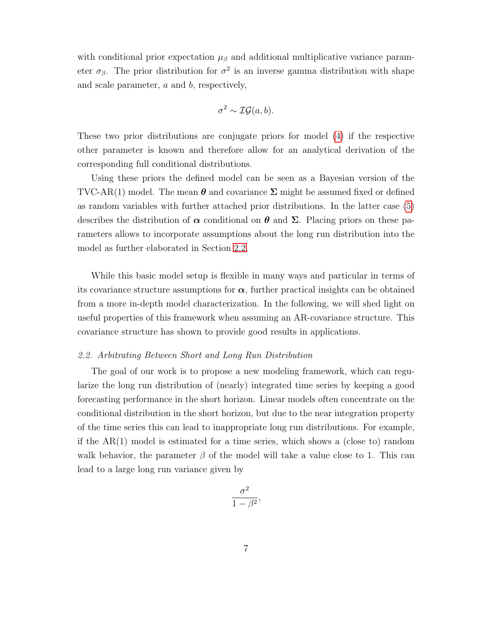with conditional prior expectation  $\mu_{\beta}$  and additional multiplicative variance parameter  $\sigma_{\beta}$ . The prior distribution for  $\sigma^2$  is an inverse gamma distribution with shape and scale parameter, a and b, respectively,

$$
\sigma^2 \sim \mathcal{IG}(a, b).
$$

These two prior distributions are conjugate priors for model [\(4\)](#page-5-1) if the respective other parameter is known and therefore allow for an analytical derivation of the corresponding full conditional distributions.

Using these priors the defined model can be seen as a Bayesian version of the TVC-AR(1) model. The mean  $\theta$  and covariance  $\Sigma$  might be assumed fixed or defined as random variables with further attached prior distributions. In the latter case [\(5\)](#page-5-2) describes the distribution of  $\alpha$  conditional on  $\theta$  and  $\Sigma$ . Placing priors on these parameters allows to incorporate assumptions about the long run distribution into the model as further elaborated in Section [2.2.](#page-6-0)

While this basic model setup is flexible in many ways and particular in terms of its covariance structure assumptions for  $\alpha$ , further practical insights can be obtained from a more in-depth model characterization. In the following, we will shed light on useful properties of this framework when assuming an AR-covariance structure. This covariance structure has shown to provide good results in applications.

#### <span id="page-6-0"></span>2.2. Arbitrating Between Short and Long Run Distribution

The goal of our work is to propose a new modeling framework, which can regularize the long run distribution of (nearly) integrated time series by keeping a good forecasting performance in the short horizon. Linear models often concentrate on the conditional distribution in the short horizon, but due to the near integration property of the time series this can lead to inappropriate long run distributions. For example, if the AR(1) model is estimated for a time series, which shows a (close to) random walk behavior, the parameter  $\beta$  of the model will take a value close to 1. This can lead to a large long run variance given by

$$
\frac{\sigma^2}{1-\beta^2},
$$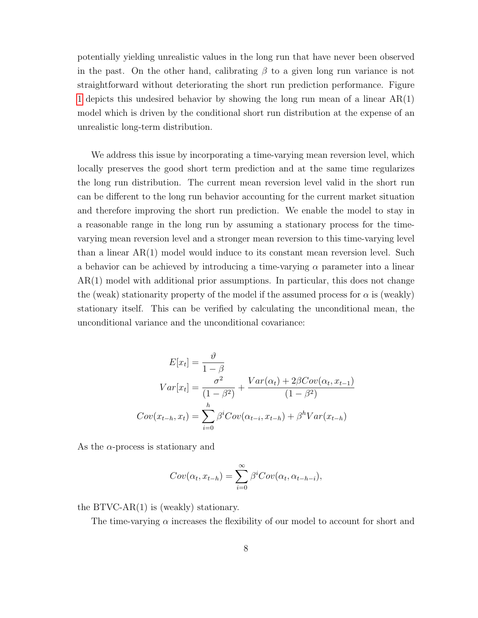potentially yielding unrealistic values in the long run that have never been observed in the past. On the other hand, calibrating  $\beta$  to a given long run variance is not straightforward without deteriorating the short run prediction performance. Figure [1](#page-10-0) depicts this undesired behavior by showing the long run mean of a linear  $AR(1)$ model which is driven by the conditional short run distribution at the expense of an unrealistic long-term distribution.

We address this issue by incorporating a time-varying mean reversion level, which locally preserves the good short term prediction and at the same time regularizes the long run distribution. The current mean reversion level valid in the short run can be different to the long run behavior accounting for the current market situation and therefore improving the short run prediction. We enable the model to stay in a reasonable range in the long run by assuming a stationary process for the timevarying mean reversion level and a stronger mean reversion to this time-varying level than a linear AR(1) model would induce to its constant mean reversion level. Such a behavior can be achieved by introducing a time-varying  $\alpha$  parameter into a linear AR(1) model with additional prior assumptions. In particular, this does not change the (weak) stationarity property of the model if the assumed process for  $\alpha$  is (weakly) stationary itself. This can be verified by calculating the unconditional mean, the unconditional variance and the unconditional covariance:

$$
E[x_t] = \frac{\vartheta}{1 - \beta}
$$
  
\n
$$
Var[x_t] = \frac{\sigma^2}{(1 - \beta^2)} + \frac{Var(\alpha_t) + 2\beta Cov(\alpha_t, x_{t-1})}{(1 - \beta^2)}
$$
  
\n
$$
Cov(x_{t-h}, x_t) = \sum_{i=0}^h \beta^i Cov(\alpha_{t-i}, x_{t-h}) + \beta^h Var(x_{t-h})
$$

As the  $\alpha$ -process is stationary and

$$
Cov(\alpha_t, x_{t-h}) = \sum_{i=0}^{\infty} \beta^i Cov(\alpha_t, \alpha_{t-h-i}),
$$

the BTVC-AR(1) is (weakly) stationary.

The time-varying  $\alpha$  increases the flexibility of our model to account for short and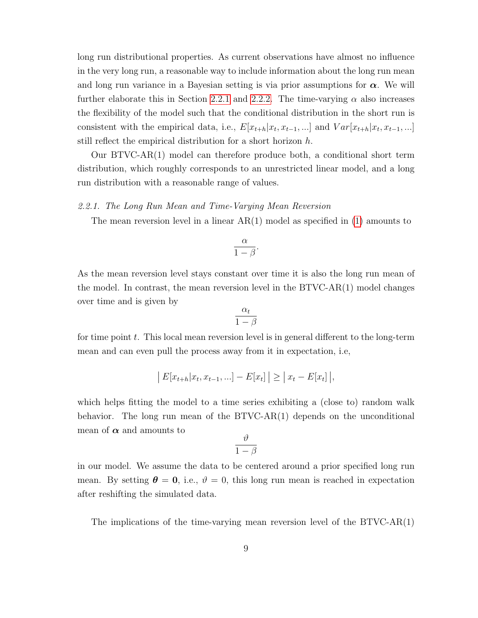long run distributional properties. As current observations have almost no influence in the very long run, a reasonable way to include information about the long run mean and long run variance in a Bayesian setting is via prior assumptions for  $\alpha$ . We will further elaborate this in Section [2.2.1](#page-8-0) and [2.2.2.](#page-9-0) The time-varying  $\alpha$  also increases the flexibility of the model such that the conditional distribution in the short run is consistent with the empirical data, i.e.,  $E[x_{t+h}|x_t, x_{t-1}, \ldots]$  and  $Var[x_{t+h}|x_t, x_{t-1}, \ldots]$ still reflect the empirical distribution for a short horizon h.

Our BTVC-AR(1) model can therefore produce both, a conditional short term distribution, which roughly corresponds to an unrestricted linear model, and a long run distribution with a reasonable range of values.

### <span id="page-8-0"></span>2.2.1. The Long Run Mean and Time-Varying Mean Reversion

The mean reversion level in a linear  $AR(1)$  $AR(1)$  model as specified in  $(1)$  amounts to

$$
\frac{\alpha}{1-\beta}.
$$

As the mean reversion level stays constant over time it is also the long run mean of the model. In contrast, the mean reversion level in the BTVC-AR(1) model changes over time and is given by

$$
\frac{\alpha_t}{1-\beta}
$$

for time point  $t$ . This local mean reversion level is in general different to the long-term mean and can even pull the process away from it in expectation, i.e,

$$
|E[x_{t+h}|x_t, x_{t-1}, ...] - E[x_t]| \ge |x_t - E[x_t]|,
$$

which helps fitting the model to a time series exhibiting a (close to) random walk behavior. The long run mean of the  $BYVC-AR(1)$  depends on the unconditional mean of  $\alpha$  and amounts to

$$
\frac{\vartheta}{1-\beta}
$$

in our model. We assume the data to be centered around a prior specified long run mean. By setting  $\theta = 0$ , i.e.,  $\vartheta = 0$ , this long run mean is reached in expectation after reshifting the simulated data.

The implications of the time-varying mean reversion level of the BTVC-AR(1)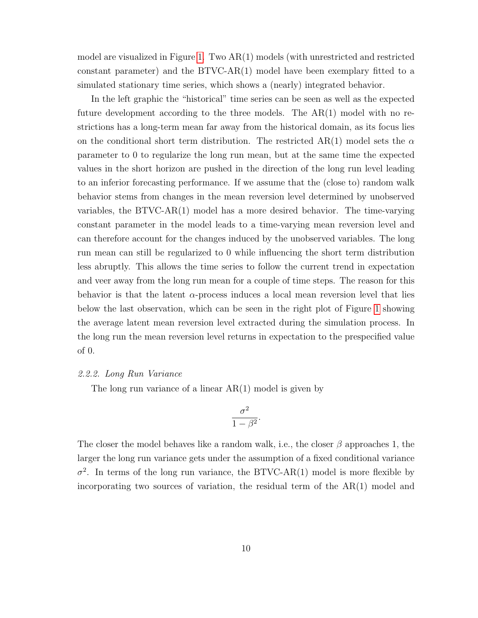model are visualized in Figure [1.](#page-10-0) Two AR(1) models (with unrestricted and restricted constant parameter) and the  $BTVC-AR(1)$  model have been exemplary fitted to a simulated stationary time series, which shows a (nearly) integrated behavior.

In the left graphic the "historical" time series can be seen as well as the expected future development according to the three models. The AR(1) model with no restrictions has a long-term mean far away from the historical domain, as its focus lies on the conditional short term distribution. The restricted AR(1) model sets the  $\alpha$ parameter to 0 to regularize the long run mean, but at the same time the expected values in the short horizon are pushed in the direction of the long run level leading to an inferior forecasting performance. If we assume that the (close to) random walk behavior stems from changes in the mean reversion level determined by unobserved variables, the BTVC-AR(1) model has a more desired behavior. The time-varying constant parameter in the model leads to a time-varying mean reversion level and can therefore account for the changes induced by the unobserved variables. The long run mean can still be regularized to 0 while influencing the short term distribution less abruptly. This allows the time series to follow the current trend in expectation and veer away from the long run mean for a couple of time steps. The reason for this behavior is that the latent  $\alpha$ -process induces a local mean reversion level that lies below the last observation, which can be seen in the right plot of Figure [1](#page-10-0) showing the average latent mean reversion level extracted during the simulation process. In the long run the mean reversion level returns in expectation to the prespecified value of 0.

### <span id="page-9-0"></span>2.2.2. Long Run Variance

The long run variance of a linear  $AR(1)$  model is given by

$$
\frac{\sigma^2}{1-\beta^2}.
$$

The closer the model behaves like a random walk, i.e., the closer  $\beta$  approaches 1, the larger the long run variance gets under the assumption of a fixed conditional variance  $\sigma^2$ . In terms of the long run variance, the BTVC-AR(1) model is more flexible by incorporating two sources of variation, the residual term of the  $AR(1)$  model and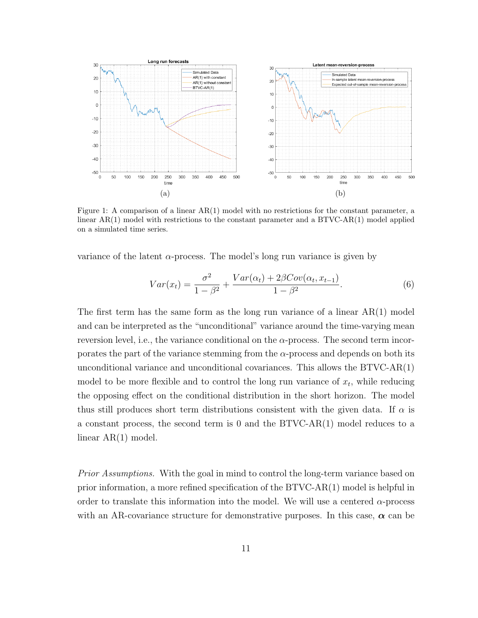<span id="page-10-0"></span>

Figure 1: A comparison of a linear AR(1) model with no restrictions for the constant parameter, a linear  $AR(1)$  model with restrictions to the constant parameter and a BTVC-AR $(1)$  model applied on a simulated time series.

variance of the latent  $\alpha$ -process. The model's long run variance is given by

<span id="page-10-1"></span>
$$
Var(x_t) = \frac{\sigma^2}{1 - \beta^2} + \frac{Var(\alpha_t) + 2\beta Cov(\alpha_t, x_{t-1})}{1 - \beta^2}.
$$
\n
$$
(6)
$$

The first term has the same form as the long run variance of a linear  $AR(1)$  model and can be interpreted as the "unconditional" variance around the time-varying mean reversion level, i.e., the variance conditional on the  $\alpha$ -process. The second term incorporates the part of the variance stemming from the  $\alpha$ -process and depends on both its unconditional variance and unconditional covariances. This allows the BTVC-AR(1) model to be more flexible and to control the long run variance of  $x_t$ , while reducing the opposing effect on the conditional distribution in the short horizon. The model thus still produces short term distributions consistent with the given data. If  $\alpha$  is a constant process, the second term is 0 and the BTVC-AR(1) model reduces to a linear AR(1) model.

Prior Assumptions. With the goal in mind to control the long-term variance based on prior information, a more refined specification of the BTVC-AR(1) model is helpful in order to translate this information into the model. We will use a centered  $\alpha$ -process with an AR-covariance structure for demonstrative purposes. In this case,  $\alpha$  can be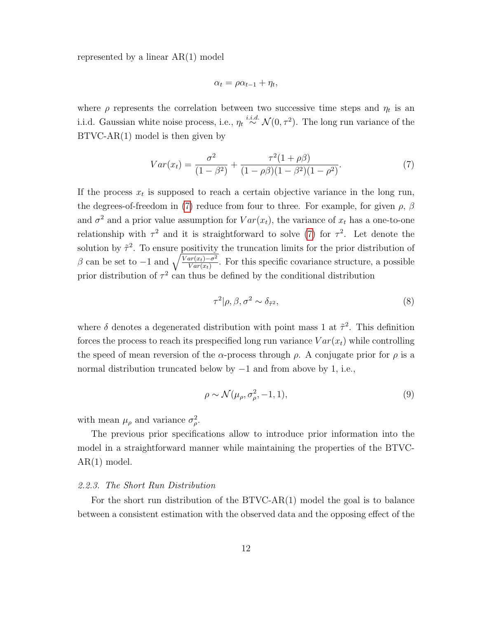represented by a linear AR(1) model

<span id="page-11-0"></span>
$$
\alpha_t = \rho \alpha_{t-1} + \eta_t,
$$

where  $\rho$  represents the correlation between two successive time steps and  $\eta_t$  is an i.i.d. Gaussian white noise process, i.e.,  $\eta_t \stackrel{i.i.d.}{\sim} \mathcal{N}(0, \tau^2)$ . The long run variance of the BTVC-AR(1) model is then given by

$$
Var(x_t) = \frac{\sigma^2}{(1 - \beta^2)} + \frac{\tau^2 (1 + \rho \beta)}{(1 - \rho \beta)(1 - \beta^2)(1 - \rho^2)}.
$$
\n(7)

If the process  $x_t$  is supposed to reach a certain objective variance in the long run, the degrees-of-freedom in [\(7\)](#page-11-0) reduce from four to three. For example, for given  $\rho$ ,  $\beta$ and  $\sigma^2$  and a prior value assumption for  $Var(x_t)$ , the variance of  $x_t$  has a one-to-one relationship with  $\tau^2$  and it is straightforward to solve [\(7\)](#page-11-0) for  $\tau^2$ . Let denote the solution by  $\tilde{\tau}^2$ . To ensure positivity the truncation limits for the prior distribution of β can be set to  $-1$  and  $\sqrt{\frac{Var(x_t)-\sigma^2}{Var(x_t)}}$ . For this specific covariance structure, a possible prior distribution of  $\tau^2$  can thus be defined by the conditional distribution

<span id="page-11-1"></span>
$$
\tau^2|\rho,\beta,\sigma^2 \sim \delta_{\tilde{\tau}^2},\tag{8}
$$

where  $\delta$  denotes a degenerated distribution with point mass 1 at  $\tilde{\tau}^2$ . This definition forces the process to reach its prespecified long run variance  $Var(x_t)$  while controlling the speed of mean reversion of the  $\alpha$ -process through  $\rho$ . A conjugate prior for  $\rho$  is a normal distribution truncated below by −1 and from above by 1, i.e.,

$$
\rho \sim \mathcal{N}(\mu_{\rho}, \sigma_{\rho}^2, -1, 1), \tag{9}
$$

with mean  $\mu_{\rho}$  and variance  $\sigma_{\rho}^2$ .

The previous prior specifications allow to introduce prior information into the model in a straightforward manner while maintaining the properties of the BTVC-AR(1) model.

### 2.2.3. The Short Run Distribution

For the short run distribution of the BTVC-AR(1) model the goal is to balance between a consistent estimation with the observed data and the opposing effect of the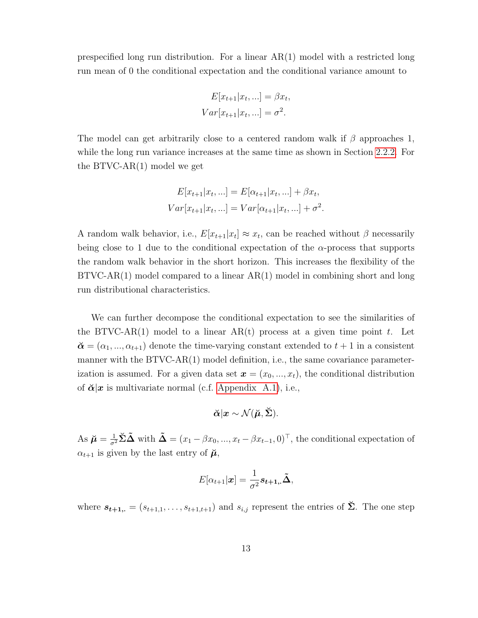prespecified long run distribution. For a linear AR(1) model with a restricted long run mean of 0 the conditional expectation and the conditional variance amount to

$$
E[x_{t+1}|x_t, \ldots] = \beta x_t,
$$
  

$$
Var[x_{t+1}|x_t, \ldots] = \sigma^2.
$$

The model can get arbitrarily close to a centered random walk if  $\beta$  approaches 1, while the long run variance increases at the same time as shown in Section [2.2.2.](#page-9-0) For the BTVC-AR(1) model we get

$$
E[x_{t+1}|x_t, ...] = E[\alpha_{t+1}|x_t, ...] + \beta x_t,
$$
  
\n
$$
Var[x_{t+1}|x_t, ...] = Var[\alpha_{t+1}|x_t, ...] + \sigma^2.
$$

A random walk behavior, i.e.,  $E[x_{t+1}|x_t] \approx x_t$ , can be reached without  $\beta$  necessarily being close to 1 due to the conditional expectation of the  $\alpha$ -process that supports the random walk behavior in the short horizon. This increases the flexibility of the  $BTVC-AR(1)$  model compared to a linear  $AR(1)$  model in combining short and long run distributional characteristics.

We can further decompose the conditional expectation to see the similarities of the BTVC-AR(1) model to a linear AR(t) process at a given time point t. Let  $\mathbf{\breve{\alpha}} = (\alpha_1, ..., \alpha_{t+1})$  denote the time-varying constant extended to  $t+1$  in a consistent manner with the BTVC-AR(1) model definition, i.e., the same covariance parameterization is assumed. For a given data set  $\mathbf{x} = (x_0, ..., x_t)$ , the conditional distribution of  $\breve{\alpha}|x$  is multivariate normal (c.f. [Appendix A.1\)](#page-32-0), i.e.,

$$
\breve{\boldsymbol{\alpha}}|\boldsymbol{x} \sim \mathcal{N}(\breve{\boldsymbol{\mu}},\breve{\boldsymbol{\Sigma}}).
$$

As  $\breve{\mu} = \frac{1}{\sigma^2} \breve{\Sigma} \tilde{\Delta}$  with  $\tilde{\Delta} = (x_1 - \beta x_0, ..., x_t - \beta x_{t-1}, 0)^{\top}$ , the conditional expectation of  $\alpha_{t+1}$  is given by the last entry of  $\mu$ ,

$$
E[\alpha_{t+1}|\boldsymbol{x}] = \frac{1}{\sigma^2} s_{t+1,.} \tilde{\boldsymbol{\Delta}},
$$

where  $s_{t+1, \cdot} = (s_{t+1,1}, \dots, s_{t+1,t+1})$  and  $s_{i,j}$  represent the entries of  $\Sigma$ . The one step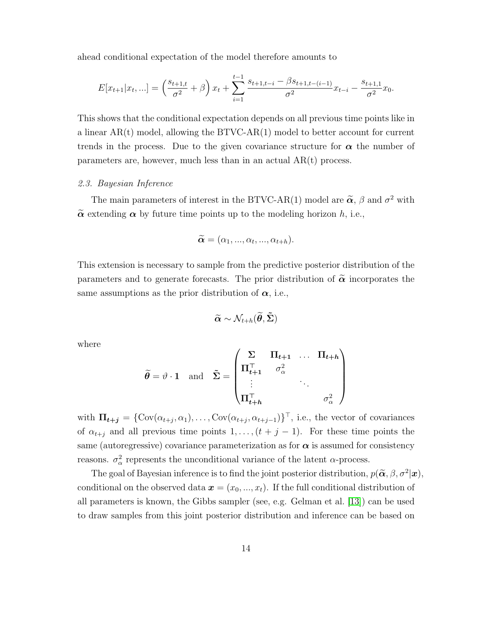ahead conditional expectation of the model therefore amounts to

$$
E[x_{t+1}|x_t,...] = \left(\frac{s_{t+1,t}}{\sigma^2} + \beta\right)x_t + \sum_{i=1}^{t-1} \frac{s_{t+1,t-i} - \beta s_{t+1,t-(i-1)}}{\sigma^2}x_{t-i} - \frac{s_{t+1,1}}{\sigma^2}x_0.
$$

This shows that the conditional expectation depends on all previous time points like in a linear  $AR(t)$  model, allowing the  $BTVC-AR(1)$  model to better account for current trends in the process. Due to the given covariance structure for  $\alpha$  the number of parameters are, however, much less than in an actual AR(t) process.

### <span id="page-13-0"></span>2.3. Bayesian Inference

The main parameters of interest in the BTVC-AR(1) model are  $\tilde{\alpha}$ ,  $\beta$  and  $\sigma^2$  with  $\tilde{\alpha}$  extending  $\alpha$  by future time points up to the modeling horizon h, i.e.,

$$
\widetilde{\boldsymbol{\alpha}}=(\alpha_1,...,\alpha_t,...,\alpha_{t+h}).
$$

This extension is necessary to sample from the predictive posterior distribution of the parameters and to generate forecasts. The prior distribution of  $\tilde{\alpha}$  incorporates the same assumptions as the prior distribution of  $\alpha$ , i.e.,

$$
\widetilde{\boldsymbol{\alpha}} \sim \mathcal{N}_{t+h}(\widetilde{\boldsymbol{\theta}}, \widetilde{\boldsymbol{\Sigma}})
$$

where

$$
\widetilde{\theta} = \vartheta \cdot \mathbf{1} \quad \text{and} \quad \widetilde{\Sigma} = \begin{pmatrix} \Sigma & \Pi_{t+1} & \dots & \Pi_{t+h} \\ \Pi_{t+1}^{\top} & \sigma_{\alpha}^2 & & \\ \vdots & & \ddots & \\ \Pi_{t+h}^{\top} & & & \sigma_{\alpha}^2 \end{pmatrix}
$$

with  $\Pi_{t+j} = \{ \text{Cov}(\alpha_{t+j}, \alpha_1), \ldots, \text{Cov}(\alpha_{t+j}, \alpha_{t+j-1}) \}^{\top}$ , i.e., the vector of covariances of  $\alpha_{t+j}$  and all previous time points  $1, \ldots, (t + j - 1)$ . For these time points the same (autoregressive) covariance parameterization as for  $\alpha$  is assumed for consistency reasons.  $\sigma_{\alpha}^2$  represents the unconditional variance of the latent  $\alpha$ -process.

The goal of Bayesian inference is to find the joint posterior distribution,  $p(\tilde{\boldsymbol{\alpha}}, \beta, \sigma^2 | \boldsymbol{x})$ , conditional on the observed data  $\mathbf{x} = (x_0, ..., x_t)$ . If the full conditional distribution of all parameters is known, the Gibbs sampler (see, e.g. Gelman et al. [\[13\]](#page-29-7)) can be used to draw samples from this joint posterior distribution and inference can be based on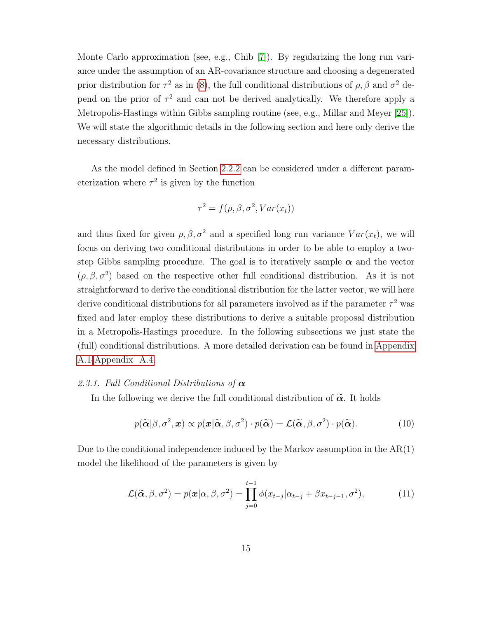Monte Carlo approximation (see, e.g., Chib [\[7\]](#page-28-7)). By regularizing the long run variance under the assumption of an AR-covariance structure and choosing a degenerated prior distribution for  $\tau^2$  as in [\(8\)](#page-11-1), the full conditional distributions of  $\rho$ ,  $\beta$  and  $\sigma^2$  depend on the prior of  $\tau^2$  and can not be derived analytically. We therefore apply a Metropolis-Hastings within Gibbs sampling routine (see, e.g., Millar and Meyer [\[25\]](#page-30-6)). We will state the algorithmic details in the following section and here only derive the necessary distributions.

As the model defined in Section [2.2.2](#page-9-0) can be considered under a different parameterization where  $\tau^2$  is given by the function

$$
\tau^2 = f(\rho, \beta, \sigma^2, Var(x_t))
$$

and thus fixed for given  $\rho, \beta, \sigma^2$  and a specified long run variance  $Var(x_t)$ , we will focus on deriving two conditional distributions in order to be able to employ a twostep Gibbs sampling procedure. The goal is to iteratively sample  $\alpha$  and the vector  $(\rho, \beta, \sigma^2)$  based on the respective other full conditional distribution. As it is not straightforward to derive the conditional distribution for the latter vector, we will here derive conditional distributions for all parameters involved as if the parameter  $\tau^2$  was fixed and later employ these distributions to derive a suitable proposal distribution in a Metropolis-Hastings procedure. In the following subsections we just state the (full) conditional distributions. A more detailed derivation can be found in [Appendix](#page-32-0) [A.1](#page-32-0)[-Appendix A.4.](#page-35-0)

### 2.3.1. Full Conditional Distributions of  $\alpha$

In the following we derive the full conditional distribution of  $\tilde{\alpha}$ . It holds

<span id="page-14-0"></span>
$$
p(\widetilde{\boldsymbol{\alpha}}|\beta,\sigma^2,\boldsymbol{x}) \propto p(\boldsymbol{x}|\widetilde{\boldsymbol{\alpha}},\beta,\sigma^2) \cdot p(\widetilde{\boldsymbol{\alpha}}) = \mathcal{L}(\widetilde{\boldsymbol{\alpha}},\beta,\sigma^2) \cdot p(\widetilde{\boldsymbol{\alpha}}). \tag{10}
$$

Due to the conditional independence induced by the Markov assumption in the  $AR(1)$ model the likelihood of the parameters is given by

<span id="page-14-1"></span>
$$
\mathcal{L}(\widetilde{\boldsymbol{\alpha}}, \beta, \sigma^2) = p(\boldsymbol{x}|\alpha, \beta, \sigma^2) = \prod_{j=0}^{t-1} \phi(x_{t-j}|\alpha_{t-j} + \beta x_{t-j-1}, \sigma^2),
$$
(11)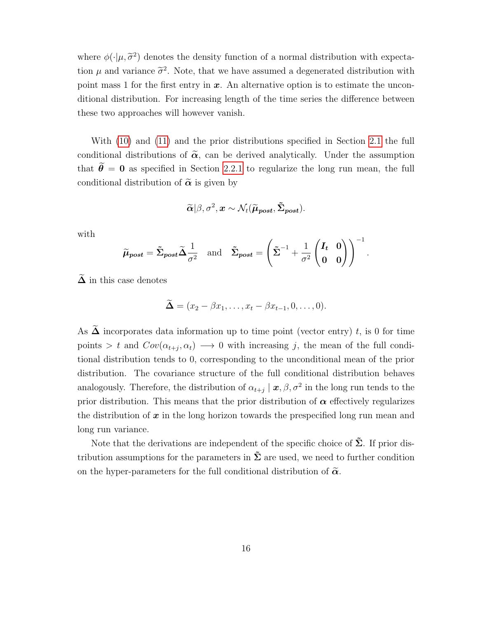where  $\phi(\cdot|\mu, \tilde{\sigma}^2)$  denotes the density function of a normal distribution with expectation  $\mu$  and variance  $\tilde{\sigma}^2$ . Note, that we have assumed a degenerated distribution with point mass 1 for the first entry in  $x$ . An alternative option is to estimate the unconditional distribution. For increasing length of the time series the difference between these two approaches will however vanish.

With [\(10\)](#page-14-0) and [\(11\)](#page-14-1) and the prior distributions specified in Section [2.1](#page-5-3) the full conditional distributions of  $\tilde{\alpha}$ , can be derived analytically. Under the assumption that  $\tilde{\theta} = 0$  as specified in Section [2.2.1](#page-8-0) to regularize the long run mean, the full conditional distribution of  $\tilde{\alpha}$  is given by

$$
\widetilde{\boldsymbol{\alpha}}|\beta,\sigma^2,\boldsymbol{x}\sim\mathcal{N}_t(\widetilde{\boldsymbol{\mu}}_{\boldsymbol{post}},\tilde{\boldsymbol{\Sigma}}_{\boldsymbol{post}}).
$$

with

$$
\widetilde{\mu}_{post} = \widetilde{\Sigma}_{post} \widetilde{\Delta} \frac{1}{\sigma^2} \text{ and } \widetilde{\Sigma}_{post} = \left( \widetilde{\Sigma}^{-1} + \frac{1}{\sigma^2} \begin{pmatrix} I_t & 0 \\ 0 & 0 \end{pmatrix} \right)^{-1}.
$$

 $\Delta$  in this case denotes

$$
\widetilde{\Delta} = (x_2 - \beta x_1, \dots, x_t - \beta x_{t-1}, 0, \dots, 0).
$$

As  $\widetilde{\Delta}$  incorporates data information up to time point (vector entry) t, is 0 for time points > t and  $Cov(\alpha_{t+j}, \alpha_t) \longrightarrow 0$  with increasing j, the mean of the full conditional distribution tends to 0, corresponding to the unconditional mean of the prior distribution. The covariance structure of the full conditional distribution behaves analogously. Therefore, the distribution of  $\alpha_{t+j} \mid x, \beta, \sigma^2$  in the long run tends to the prior distribution. This means that the prior distribution of  $\alpha$  effectively regularizes the distribution of  $x$  in the long horizon towards the prespecified long run mean and long run variance.

Note that the derivations are independent of the specific choice of  $\tilde{\Sigma}$ . If prior distribution assumptions for the parameters in  $\Sigma$  are used, we need to further condition on the hyper-parameters for the full conditional distribution of  $\tilde{\alpha}$ .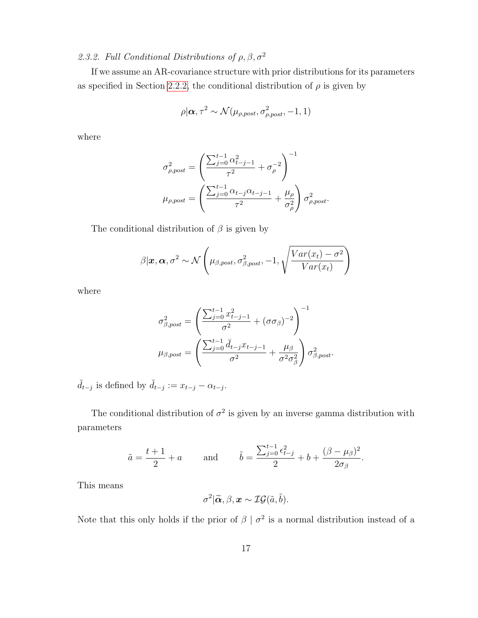## 2.3.2. Full Conditional Distributions of  $\rho$ ,  $\beta$ ,  $\sigma^2$

If we assume an AR-covariance structure with prior distributions for its parameters as specified in Section [2.2.2,](#page-9-0) the conditional distribution of  $\rho$  is given by

$$
\rho | \boldsymbol{\alpha}, \tau^2 \sim \mathcal{N}(\mu_{\rho,post}, \sigma^2_{\rho,post}, -1, 1)
$$

where

$$
\sigma_{\rho,post}^{2} = \left(\frac{\sum_{j=0}^{t-1} \alpha_{t-j-1}^{2}}{\tau^{2}} + \sigma_{\rho}^{-2}\right)^{-1}
$$

$$
\mu_{\rho,post} = \left(\frac{\sum_{j=0}^{t-1} \alpha_{t-j} \alpha_{t-j-1}}{\tau^{2}} + \frac{\mu_{\rho}}{\sigma_{\rho}^{2}}\right) \sigma_{\rho,post}^{2}.
$$

The conditional distribution of  $\beta$  is given by

$$
\beta | \boldsymbol{x}, \boldsymbol{\alpha}, \sigma^2 \sim \mathcal{N}\left(\mu_{\beta,post}, \sigma_{\beta,post}^2, -1, \sqrt{\frac{Var(x_t) - \sigma^2}{Var(x_t)}}\right)
$$

where

$$
\sigma_{\beta,post}^2 = \left(\frac{\sum_{j=0}^{t-1} x_{t-j-1}^2}{\sigma^2} + (\sigma \sigma_{\beta})^{-2}\right)^{-1}
$$

$$
\mu_{\beta,post} = \left(\frac{\sum_{j=0}^{t-1} d_{t-j} x_{t-j-1}}{\sigma^2} + \frac{\mu_{\beta}}{\sigma^2 \sigma_{\beta}^2}\right) \sigma_{\beta,post}^2.
$$

 $\check{d}_{t-j}$  is defined by  $\check{d}_{t-j} := x_{t-j} - \alpha_{t-j}$ .

The conditional distribution of  $\sigma^2$  is given by an inverse gamma distribution with parameters

$$
\tilde{a} = \frac{t+1}{2} + a \quad \text{and} \quad \tilde{b} = \frac{\sum_{j=0}^{t-1} \epsilon_{t-j}^2}{2} + b + \frac{(\beta - \mu_\beta)^2}{2\sigma_\beta}
$$

.

This means

$$
\sigma^2|\widetilde{\boldsymbol{\alpha}}, \beta, \boldsymbol{x} \sim \mathcal{IG}(\tilde{a}, \tilde{b}).
$$

Note that this only holds if the prior of  $\beta | \sigma^2$  is a normal distribution instead of a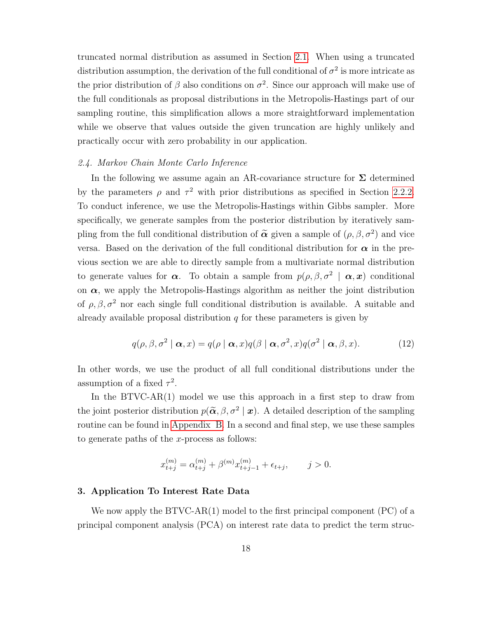truncated normal distribution as assumed in Section [2.1.](#page-5-3) When using a truncated distribution assumption, the derivation of the full conditional of  $\sigma^2$  is more intricate as the prior distribution of  $\beta$  also conditions on  $\sigma^2$ . Since our approach will make use of the full conditionals as proposal distributions in the Metropolis-Hastings part of our sampling routine, this simplification allows a more straightforward implementation while we observe that values outside the given truncation are highly unlikely and practically occur with zero probability in our application.

### <span id="page-17-1"></span>2.4. Markov Chain Monte Carlo Inference

In the following we assume again an AR-covariance structure for  $\Sigma$  determined by the parameters  $\rho$  and  $\tau^2$  with prior distributions as specified in Section [2.2.2.](#page-9-0) To conduct inference, we use the Metropolis-Hastings within Gibbs sampler. More specifically, we generate samples from the posterior distribution by iteratively sampling from the full conditional distribution of  $\tilde{\alpha}$  given a sample of  $(\rho, \beta, \sigma^2)$  and vice versa. Based on the derivation of the full conditional distribution for  $\alpha$  in the previous section we are able to directly sample from a multivariate normal distribution to generate values for  $\alpha$ . To obtain a sample from  $p(\rho, \beta, \sigma^2 | \alpha, x)$  conditional on  $\alpha$ , we apply the Metropolis-Hastings algorithm as neither the joint distribution of  $\rho$ ,  $\beta$ ,  $\sigma^2$  nor each single full conditional distribution is available. A suitable and already available proposal distribution  $q$  for these parameters is given by

<span id="page-17-2"></span>
$$
q(\rho, \beta, \sigma^2 \mid \boldsymbol{\alpha}, x) = q(\rho \mid \boldsymbol{\alpha}, x)q(\beta \mid \boldsymbol{\alpha}, \sigma^2, x)q(\sigma^2 \mid \boldsymbol{\alpha}, \beta, x). \tag{12}
$$

In other words, we use the product of all full conditional distributions under the assumption of a fixed  $\tau^2$ .

In the  $B T V C - AR(1)$  model we use this approach in a first step to draw from the joint posterior distribution  $p(\tilde{\boldsymbol{\alpha}}, \beta, \sigma^2 | \boldsymbol{x})$ . A detailed description of the sampling routine can be found in [Appendix B.](#page-36-0) In a second and final step, we use these samples to generate paths of the x-process as follows:

$$
x_{t+j}^{(m)} = \alpha_{t+j}^{(m)} + \beta^{(m)} x_{t+j-1}^{(m)} + \epsilon_{t+j}, \qquad j > 0.
$$

### <span id="page-17-0"></span>3. Application To Interest Rate Data

We now apply the  $BTVC-AR(1)$  model to the first principal component  $(PC)$  of a principal component analysis (PCA) on interest rate data to predict the term struc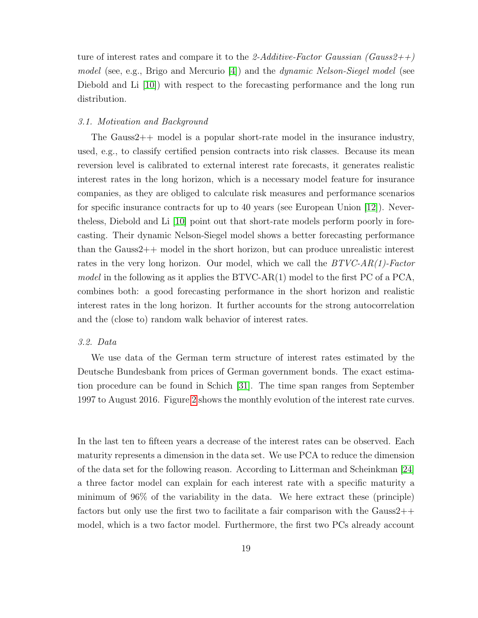ture of interest rates and compare it to the 2-Additive-Factor Gaussian (Gauss2++) model (see, e.g., Brigo and Mercurio  $[4]$ ) and the *dynamic Nelson-Siegel model* (see Diebold and Li (10) with respect to the forecasting performance and the long run distribution.

### 3.1. Motivation and Background

The Gauss2++ model is a popular short-rate model in the insurance industry, used, e.g., to classify certified pension contracts into risk classes. Because its mean reversion level is calibrated to external interest rate forecasts, it generates realistic interest rates in the long horizon, which is a necessary model feature for insurance companies, as they are obliged to calculate risk measures and performance scenarios for specific insurance contracts for up to 40 years (see European Union [\[12\]](#page-29-8)). Nevertheless, Diebold and Li [\[10\]](#page-28-0) point out that short-rate models perform poorly in forecasting. Their dynamic Nelson-Siegel model shows a better forecasting performance than the Gauss $2++$  model in the short horizon, but can produce unrealistic interest rates in the very long horizon. Our model, which we call the  $BTVC-AR(1)$ -Factor model in the following as it applies the  $BTVC-AR(1)$  model to the first PC of a PCA, combines both: a good forecasting performance in the short horizon and realistic interest rates in the long horizon. It further accounts for the strong autocorrelation and the (close to) random walk behavior of interest rates.

### 3.2. Data

We use data of the German term structure of interest rates estimated by the Deutsche Bundesbank from prices of German government bonds. The exact estimation procedure can be found in Schich [\[31\]](#page-30-7). The time span ranges from September 1997 to August 2016. Figure [2](#page-19-0) shows the monthly evolution of the interest rate curves.

In the last ten to fifteen years a decrease of the interest rates can be observed. Each maturity represents a dimension in the data set. We use PCA to reduce the dimension of the data set for the following reason. According to Litterman and Scheinkman [\[24\]](#page-30-8) a three factor model can explain for each interest rate with a specific maturity a minimum of 96% of the variability in the data. We here extract these (principle) factors but only use the first two to facilitate a fair comparison with the  $Gauss2++$ model, which is a two factor model. Furthermore, the first two PCs already account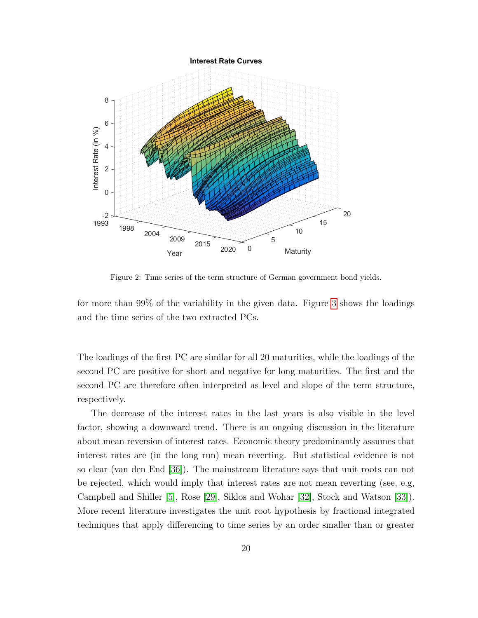<span id="page-19-0"></span>

Figure 2: Time series of the term structure of German government bond yields.

for more than 99% of the variability in the given data. Figure [3](#page-20-0) shows the loadings and the time series of the two extracted PCs.

The loadings of the first PC are similar for all 20 maturities, while the loadings of the second PC are positive for short and negative for long maturities. The first and the second PC are therefore often interpreted as level and slope of the term structure, respectively.

The decrease of the interest rates in the last years is also visible in the level factor, showing a downward trend. There is an ongoing discussion in the literature about mean reversion of interest rates. Economic theory predominantly assumes that interest rates are (in the long run) mean reverting. But statistical evidence is not so clear (van den End [\[36\]](#page-31-3)). The mainstream literature says that unit roots can not be rejected, which would imply that interest rates are not mean reverting (see, e.g, Campbell and Shiller [\[5\]](#page-28-9), Rose [\[29\]](#page-30-9), Siklos and Wohar [\[32\]](#page-30-10), Stock and Watson [\[33\]](#page-31-4)). More recent literature investigates the unit root hypothesis by fractional integrated techniques that apply differencing to time series by an order smaller than or greater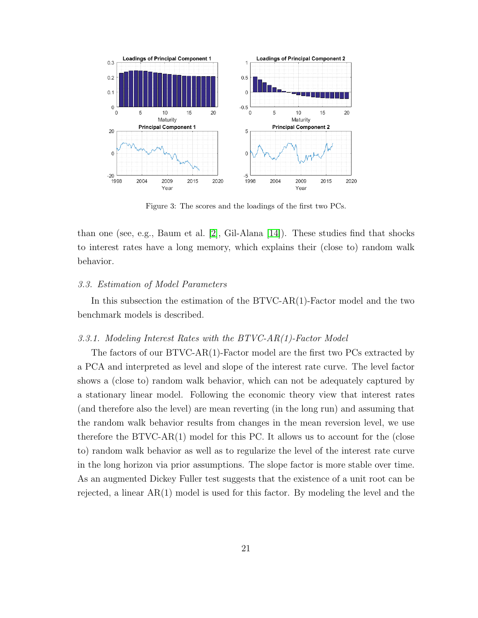<span id="page-20-0"></span>

Figure 3: The scores and the loadings of the first two PCs.

than one (see, e.g., Baum et al. [\[2\]](#page-28-10), Gil-Alana [\[14\]](#page-29-9)). These studies find that shocks to interest rates have a long memory, which explains their (close to) random walk behavior.

### <span id="page-20-1"></span>3.3. Estimation of Model Parameters

In this subsection the estimation of the BTVC-AR(1)-Factor model and the two benchmark models is described.

### 3.3.1. Modeling Interest Rates with the BTVC-AR(1)-Factor Model

The factors of our BTVC-AR(1)-Factor model are the first two PCs extracted by a PCA and interpreted as level and slope of the interest rate curve. The level factor shows a (close to) random walk behavior, which can not be adequately captured by a stationary linear model. Following the economic theory view that interest rates (and therefore also the level) are mean reverting (in the long run) and assuming that the random walk behavior results from changes in the mean reversion level, we use therefore the BTVC-AR(1) model for this PC. It allows us to account for the (close to) random walk behavior as well as to regularize the level of the interest rate curve in the long horizon via prior assumptions. The slope factor is more stable over time. As an augmented Dickey Fuller test suggests that the existence of a unit root can be rejected, a linear AR(1) model is used for this factor. By modeling the level and the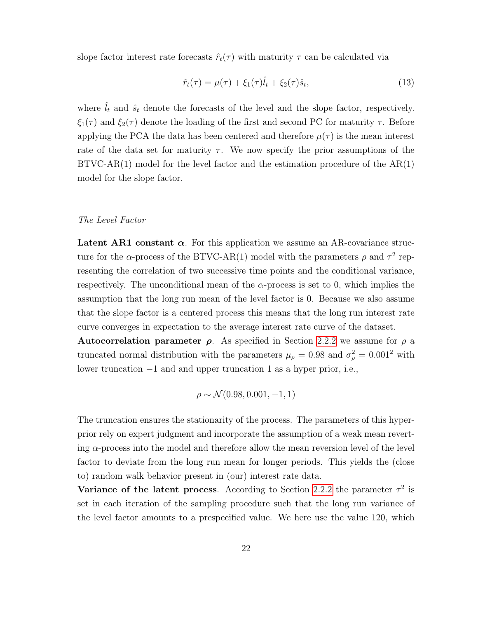slope factor interest rate forecasts  $\hat{r}_t(\tau)$  with maturity  $\tau$  can be calculated via

$$
\hat{r}_t(\tau) = \mu(\tau) + \xi_1(\tau)\hat{l}_t + \xi_2(\tau)\hat{s}_t,\tag{13}
$$

where  $\hat{l}_t$  and  $\hat{s}_t$  denote the forecasts of the level and the slope factor, respectively.  $\xi_1(\tau)$  and  $\xi_2(\tau)$  denote the loading of the first and second PC for maturity  $\tau$ . Before applying the PCA the data has been centered and therefore  $\mu(\tau)$  is the mean interest rate of the data set for maturity  $\tau$ . We now specify the prior assumptions of the  $BTVC-AR(1)$  model for the level factor and the estimation procedure of the  $AR(1)$ model for the slope factor.

### The Level Factor

Latent AR1 constant  $\alpha$ . For this application we assume an AR-covariance structure for the  $\alpha$ -process of the BTVC-AR(1) model with the parameters  $\rho$  and  $\tau^2$  representing the correlation of two successive time points and the conditional variance, respectively. The unconditional mean of the  $\alpha$ -process is set to 0, which implies the assumption that the long run mean of the level factor is 0. Because we also assume that the slope factor is a centered process this means that the long run interest rate curve converges in expectation to the average interest rate curve of the dataset.

Autocorrelation parameter  $\rho$ . As specified in Section [2.2.2](#page-9-0) we assume for  $\rho$  a truncated normal distribution with the parameters  $\mu_{\rho} = 0.98$  and  $\sigma_{\rho}^2 = 0.001^2$  with lower truncation −1 and and upper truncation 1 as a hyper prior, i.e.,

$$
\rho \sim \mathcal{N}(0.98, 0.001, -1, 1)
$$

The truncation ensures the stationarity of the process. The parameters of this hyperprior rely on expert judgment and incorporate the assumption of a weak mean reverting  $\alpha$ -process into the model and therefore allow the mean reversion level of the level factor to deviate from the long run mean for longer periods. This yields the (close to) random walk behavior present in (our) interest rate data.

Variance of the latent process. According to Section [2.2.2](#page-9-0) the parameter  $\tau^2$  is set in each iteration of the sampling procedure such that the long run variance of the level factor amounts to a prespecified value. We here use the value 120, which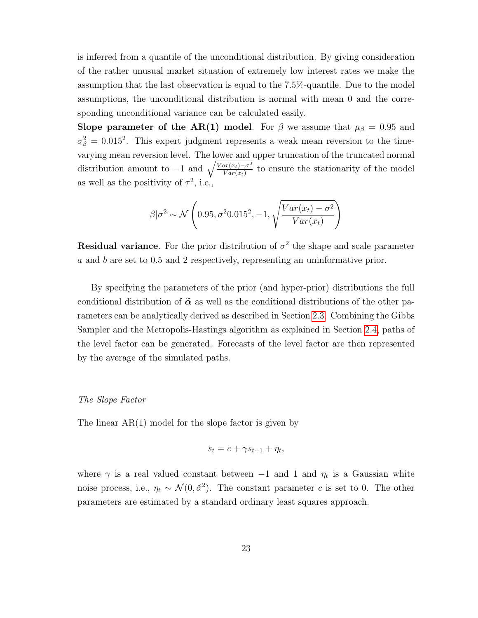is inferred from a quantile of the unconditional distribution. By giving consideration of the rather unusual market situation of extremely low interest rates we make the assumption that the last observation is equal to the 7.5%-quantile. Due to the model assumptions, the unconditional distribution is normal with mean 0 and the corresponding unconditional variance can be calculated easily.

Slope parameter of the AR(1) model. For  $\beta$  we assume that  $\mu_{\beta} = 0.95$  and  $\sigma_{\beta}^2 = 0.015^2$ . This expert judgment represents a weak mean reversion to the timevarying mean reversion level. The lower and upper truncation of the truncated normal distribution amount to  $-1$  and  $\sqrt{\frac{Var(x_t)-\sigma^2}{Var(x_t)}}$  to ensure the stationarity of the model as well as the positivity of  $\tau^2$ , i.e.,

$$
\beta | \sigma^2 \sim \mathcal{N}\left(0.95, \sigma^2 0.015^2, -1, \sqrt{\frac{Var(x_t) - \sigma^2}{Var(x_t)}}\right)
$$

**Residual variance**. For the prior distribution of  $\sigma^2$  the shape and scale parameter a and b are set to 0.5 and 2 respectively, representing an uninformative prior.

By specifying the parameters of the prior (and hyper-prior) distributions the full conditional distribution of  $\tilde{\alpha}$  as well as the conditional distributions of the other parameters can be analytically derived as described in Section [2.3.](#page-13-0) Combining the Gibbs Sampler and the Metropolis-Hastings algorithm as explained in Section [2.4,](#page-17-1) paths of the level factor can be generated. Forecasts of the level factor are then represented by the average of the simulated paths.

### The Slope Factor

The linear  $AR(1)$  model for the slope factor is given by

$$
s_t = c + \gamma s_{t-1} + \eta_t,
$$

where  $\gamma$  is a real valued constant between  $-1$  and 1 and  $\eta_t$  is a Gaussian white noise process, i.e.,  $\eta_t \sim \mathcal{N}(0, \check{\sigma}^2)$ . The constant parameter c is set to 0. The other parameters are estimated by a standard ordinary least squares approach.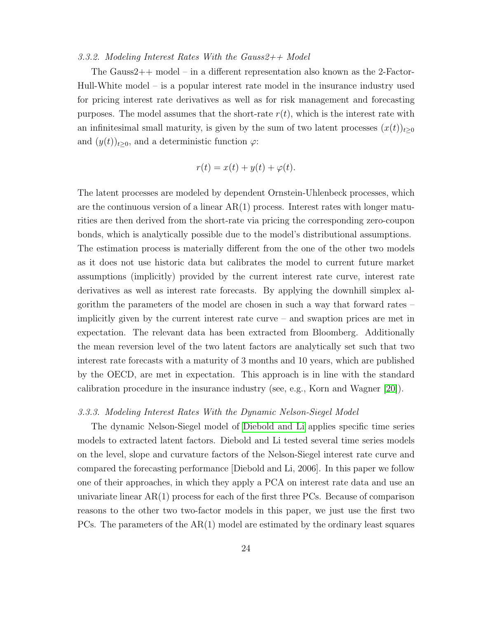### 3.3.2. Modeling Interest Rates With the Gauss $2++$  Model

The Gauss2++ model – in a different representation also known as the 2-Factor-Hull-White model – is a popular interest rate model in the insurance industry used for pricing interest rate derivatives as well as for risk management and forecasting purposes. The model assumes that the short-rate  $r(t)$ , which is the interest rate with an infinitesimal small maturity, is given by the sum of two latent processes  $(x(t))_{t\geq0}$ and  $(y(t))_{t\geq0}$ , and a deterministic function  $\varphi$ :

$$
r(t) = x(t) + y(t) + \varphi(t).
$$

The latent processes are modeled by dependent Ornstein-Uhlenbeck processes, which are the continuous version of a linear  $AR(1)$  process. Interest rates with longer maturities are then derived from the short-rate via pricing the corresponding zero-coupon bonds, which is analytically possible due to the model's distributional assumptions. The estimation process is materially different from the one of the other two models as it does not use historic data but calibrates the model to current future market assumptions (implicitly) provided by the current interest rate curve, interest rate derivatives as well as interest rate forecasts. By applying the downhill simplex algorithm the parameters of the model are chosen in such a way that forward rates – implicitly given by the current interest rate curve – and swaption prices are met in expectation. The relevant data has been extracted from Bloomberg. Additionally the mean reversion level of the two latent factors are analytically set such that two interest rate forecasts with a maturity of 3 months and 10 years, which are published by the OECD, are met in expectation. This approach is in line with the standard calibration procedure in the insurance industry (see, e.g., Korn and Wagner [\[20\]](#page-29-0)).

### 3.3.3. Modeling Interest Rates With the Dynamic Nelson-Siegel Model

The dynamic Nelson-Siegel model of [Diebold and Li](#page-28-0) applies specific time series models to extracted latent factors. Diebold and Li tested several time series models on the level, slope and curvature factors of the Nelson-Siegel interest rate curve and compared the forecasting performance [Diebold and Li, 2006]. In this paper we follow one of their approaches, in which they apply a PCA on interest rate data and use an univariate linear  $AR(1)$  process for each of the first three PCs. Because of comparison reasons to the other two two-factor models in this paper, we just use the first two PCs. The parameters of the  $AR(1)$  model are estimated by the ordinary least squares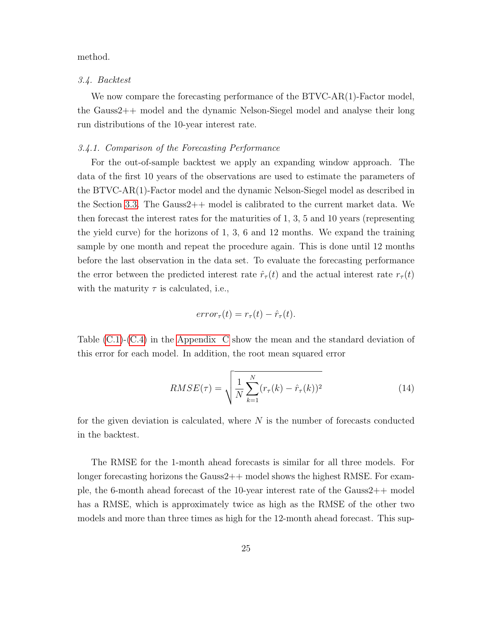### method.

### 3.4. Backtest

We now compare the forecasting performance of the BTVC-AR(1)-Factor model, the Gauss2++ model and the dynamic Nelson-Siegel model and analyse their long run distributions of the 10-year interest rate.

### 3.4.1. Comparison of the Forecasting Performance

For the out-of-sample backtest we apply an expanding window approach. The data of the first 10 years of the observations are used to estimate the parameters of the BTVC-AR(1)-Factor model and the dynamic Nelson-Siegel model as described in the Section [3.3.](#page-20-1) The Gauss2++ model is calibrated to the current market data. We then forecast the interest rates for the maturities of 1, 3, 5 and 10 years (representing the yield curve) for the horizons of 1, 3, 6 and 12 months. We expand the training sample by one month and repeat the procedure again. This is done until 12 months before the last observation in the data set. To evaluate the forecasting performance the error between the predicted interest rate  $\hat{r}_{\tau}(t)$  and the actual interest rate  $r_{\tau}(t)$ with the maturity  $\tau$  is calculated, i.e.,

$$
error_{\tau}(t) = r_{\tau}(t) - \hat{r}_{\tau}(t).
$$

Table [\(C.1\)](#page-38-0)-[\(C.4\)](#page-41-0) in the [Appendix C](#page-38-1) show the mean and the standard deviation of this error for each model. In addition, the root mean squared error

$$
RMSE(\tau) = \sqrt{\frac{1}{N} \sum_{k=1}^{N} (r_{\tau}(k) - \hat{r}_{\tau}(k))^2}
$$
(14)

for the given deviation is calculated, where  $N$  is the number of forecasts conducted in the backtest.

The RMSE for the 1-month ahead forecasts is similar for all three models. For longer forecasting horizons the Gauss2++ model shows the highest RMSE. For example, the 6-month ahead forecast of the 10-year interest rate of the Gauss2++ model has a RMSE, which is approximately twice as high as the RMSE of the other two models and more than three times as high for the 12-month ahead forecast. This sup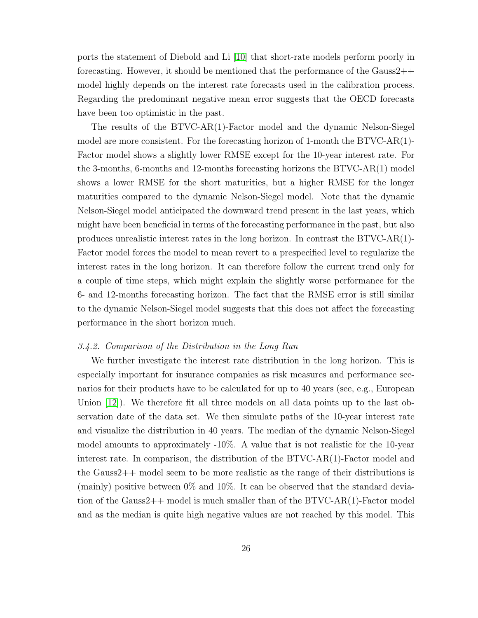ports the statement of Diebold and Li [\[10\]](#page-28-0) that short-rate models perform poorly in forecasting. However, it should be mentioned that the performance of the Gauss2++ model highly depends on the interest rate forecasts used in the calibration process. Regarding the predominant negative mean error suggests that the OECD forecasts have been too optimistic in the past.

The results of the BTVC-AR(1)-Factor model and the dynamic Nelson-Siegel model are more consistent. For the forecasting horizon of 1-month the BTVC-AR(1)- Factor model shows a slightly lower RMSE except for the 10-year interest rate. For the 3-months, 6-months and 12-months forecasting horizons the BTVC-AR(1) model shows a lower RMSE for the short maturities, but a higher RMSE for the longer maturities compared to the dynamic Nelson-Siegel model. Note that the dynamic Nelson-Siegel model anticipated the downward trend present in the last years, which might have been beneficial in terms of the forecasting performance in the past, but also produces unrealistic interest rates in the long horizon. In contrast the BTVC-AR(1)- Factor model forces the model to mean revert to a prespecified level to regularize the interest rates in the long horizon. It can therefore follow the current trend only for a couple of time steps, which might explain the slightly worse performance for the 6- and 12-months forecasting horizon. The fact that the RMSE error is still similar to the dynamic Nelson-Siegel model suggests that this does not affect the forecasting performance in the short horizon much.

#### 3.4.2. Comparison of the Distribution in the Long Run

We further investigate the interest rate distribution in the long horizon. This is especially important for insurance companies as risk measures and performance scenarios for their products have to be calculated for up to 40 years (see, e.g., European Union [\[12\]](#page-29-8)). We therefore fit all three models on all data points up to the last observation date of the data set. We then simulate paths of the 10-year interest rate and visualize the distribution in 40 years. The median of the dynamic Nelson-Siegel model amounts to approximately -10%. A value that is not realistic for the 10-year interest rate. In comparison, the distribution of the BTVC-AR(1)-Factor model and the Gauss2++ model seem to be more realistic as the range of their distributions is (mainly) positive between  $0\%$  and  $10\%$ . It can be observed that the standard deviation of the Gauss2++ model is much smaller than of the BTVC-AR(1)-Factor model and as the median is quite high negative values are not reached by this model. This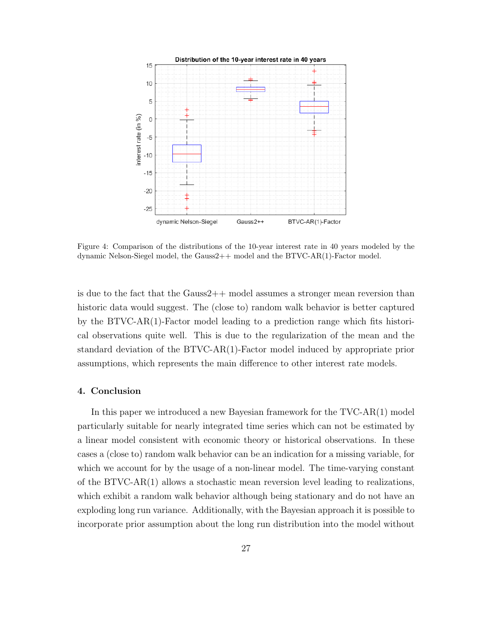

Figure 4: Comparison of the distributions of the 10-year interest rate in 40 years modeled by the dynamic Nelson-Siegel model, the Gauss2++ model and the BTVC-AR(1)-Factor model.

is due to the fact that the Gauss2++ model assumes a stronger mean reversion than historic data would suggest. The (close to) random walk behavior is better captured by the BTVC-AR(1)-Factor model leading to a prediction range which fits historical observations quite well. This is due to the regularization of the mean and the standard deviation of the BTVC-AR(1)-Factor model induced by appropriate prior assumptions, which represents the main difference to other interest rate models.

### <span id="page-26-0"></span>4. Conclusion

In this paper we introduced a new Bayesian framework for the TVC-AR(1) model particularly suitable for nearly integrated time series which can not be estimated by a linear model consistent with economic theory or historical observations. In these cases a (close to) random walk behavior can be an indication for a missing variable, for which we account for by the usage of a non-linear model. The time-varying constant of the BTVC-AR(1) allows a stochastic mean reversion level leading to realizations, which exhibit a random walk behavior although being stationary and do not have an exploding long run variance. Additionally, with the Bayesian approach it is possible to incorporate prior assumption about the long run distribution into the model without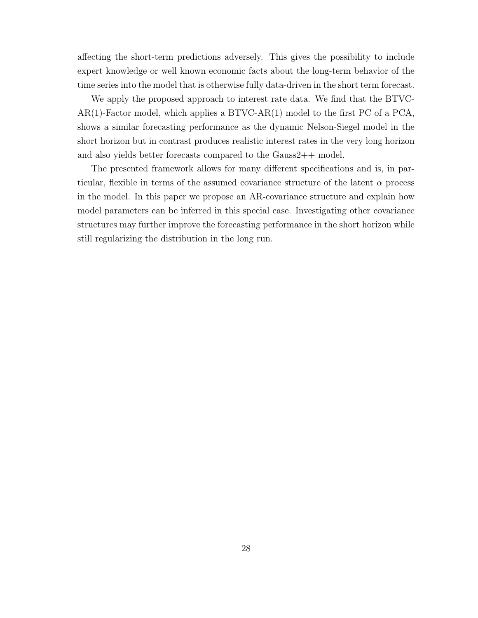affecting the short-term predictions adversely. This gives the possibility to include expert knowledge or well known economic facts about the long-term behavior of the time series into the model that is otherwise fully data-driven in the short term forecast.

We apply the proposed approach to interest rate data. We find that the BTVC- $AR(1)$ -Factor model, which applies a BTVC-AR $(1)$  model to the first PC of a PCA, shows a similar forecasting performance as the dynamic Nelson-Siegel model in the short horizon but in contrast produces realistic interest rates in the very long horizon and also yields better forecasts compared to the Gauss2++ model.

The presented framework allows for many different specifications and is, in particular, flexible in terms of the assumed covariance structure of the latent  $\alpha$  process in the model. In this paper we propose an AR-covariance structure and explain how model parameters can be inferred in this special case. Investigating other covariance structures may further improve the forecasting performance in the short horizon while still regularizing the distribution in the long run.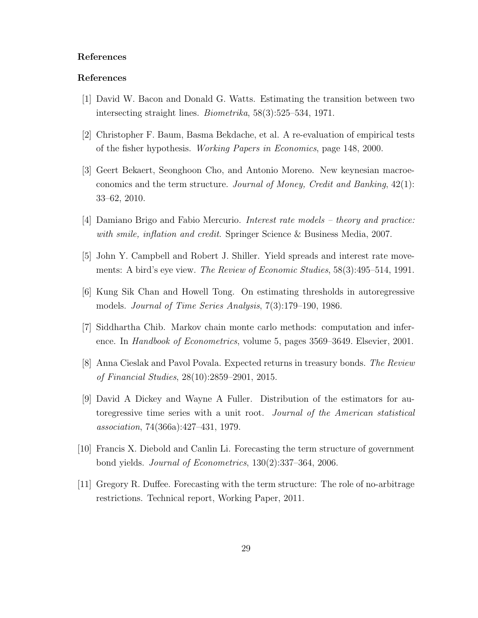### References

### References

- <span id="page-28-3"></span>[1] David W. Bacon and Donald G. Watts. Estimating the transition between two intersecting straight lines. Biometrika, 58(3):525–534, 1971.
- <span id="page-28-10"></span>[2] Christopher F. Baum, Basma Bekdache, et al. A re-evaluation of empirical tests of the fisher hypothesis. Working Papers in Economics, page 148, 2000.
- <span id="page-28-5"></span>[3] Geert Bekaert, Seonghoon Cho, and Antonio Moreno. New keynesian macroeconomics and the term structure. Journal of Money, Credit and Banking, 42(1): 33–62, 2010.
- <span id="page-28-8"></span>[4] Damiano Brigo and Fabio Mercurio. Interest rate models – theory and practice: with smile, inflation and credit. Springer Science & Business Media, 2007.
- <span id="page-28-9"></span>[5] John Y. Campbell and Robert J. Shiller. Yield spreads and interest rate movements: A bird's eye view. The Review of Economic Studies, 58(3):495–514, 1991.
- <span id="page-28-4"></span>[6] Kung Sik Chan and Howell Tong. On estimating thresholds in autoregressive models. Journal of Time Series Analysis, 7(3):179–190, 1986.
- <span id="page-28-7"></span>[7] Siddhartha Chib. Markov chain monte carlo methods: computation and inference. In Handbook of Econometrics, volume 5, pages 3569–3649. Elsevier, 2001.
- <span id="page-28-6"></span>[8] Anna Cieslak and Pavol Povala. Expected returns in treasury bonds. The Review of Financial Studies, 28(10):2859–2901, 2015.
- <span id="page-28-2"></span>[9] David A Dickey and Wayne A Fuller. Distribution of the estimators for autoregressive time series with a unit root. Journal of the American statistical association, 74(366a):427–431, 1979.
- <span id="page-28-0"></span>[10] Francis X. Diebold and Canlin Li. Forecasting the term structure of government bond yields. Journal of Econometrics, 130(2):337–364, 2006.
- <span id="page-28-1"></span>[11] Gregory R. Duffee. Forecasting with the term structure: The role of no-arbitrage restrictions. Technical report, Working Paper, 2011.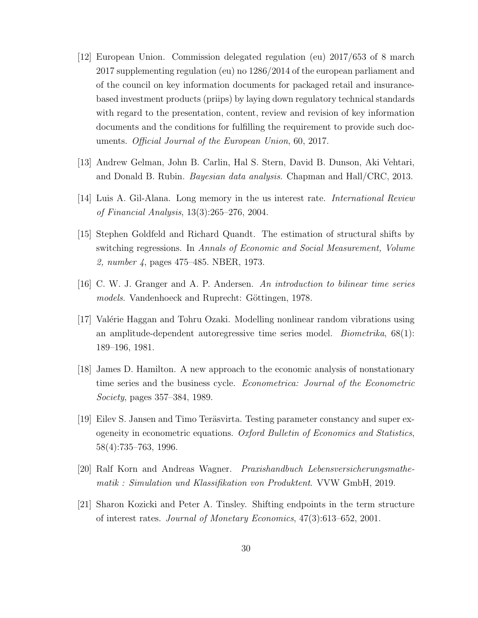- <span id="page-29-8"></span>[12] European Union. Commission delegated regulation (eu) 2017/653 of 8 march 2017 supplementing regulation (eu) no 1286/2014 of the european parliament and of the council on key information documents for packaged retail and insurancebased investment products (priips) by laying down regulatory technical standards with regard to the presentation, content, review and revision of key information documents and the conditions for fulfilling the requirement to provide such documents. Official Journal of the European Union, 60, 2017.
- <span id="page-29-7"></span>[13] Andrew Gelman, John B. Carlin, Hal S. Stern, David B. Dunson, Aki Vehtari, and Donald B. Rubin. Bayesian data analysis. Chapman and Hall/CRC, 2013.
- <span id="page-29-9"></span>[14] Luis A. Gil-Alana. Long memory in the us interest rate. International Review of Financial Analysis, 13(3):265–276, 2004.
- <span id="page-29-3"></span>[15] Stephen Goldfeld and Richard Quandt. The estimation of structural shifts by switching regressions. In Annals of Economic and Social Measurement, Volume 2, number 4, pages 475–485. NBER, 1973.
- <span id="page-29-2"></span>[16] C. W. J. Granger and A. P. Andersen. An introduction to bilinear time series models. Vandenhoeck and Ruprecht: Göttingen, 1978.
- <span id="page-29-4"></span>[17] Valérie Haggan and Tohru Ozaki. Modelling nonlinear random vibrations using an amplitude-dependent autoregressive time series model. *Biometrika*,  $68(1)$ : 189–196, 1981.
- <span id="page-29-1"></span>[18] James D. Hamilton. A new approach to the economic analysis of nonstationary time series and the business cycle. Econometrica: Journal of the Econometric Society, pages 357–384, 1989.
- <span id="page-29-5"></span>[19] Eilev S. Jansen and Timo Teräsvirta. Testing parameter constancy and super exogeneity in econometric equations. Oxford Bulletin of Economics and Statistics, 58(4):735–763, 1996.
- <span id="page-29-0"></span>[20] Ralf Korn and Andreas Wagner. Praxishandbuch Lebensversicherungsmathematik : Simulation und Klassifikation von Produktent. VVW GmbH, 2019.
- <span id="page-29-6"></span>[21] Sharon Kozicki and Peter A. Tinsley. Shifting endpoints in the term structure of interest rates. Journal of Monetary Economics, 47(3):613–652, 2001.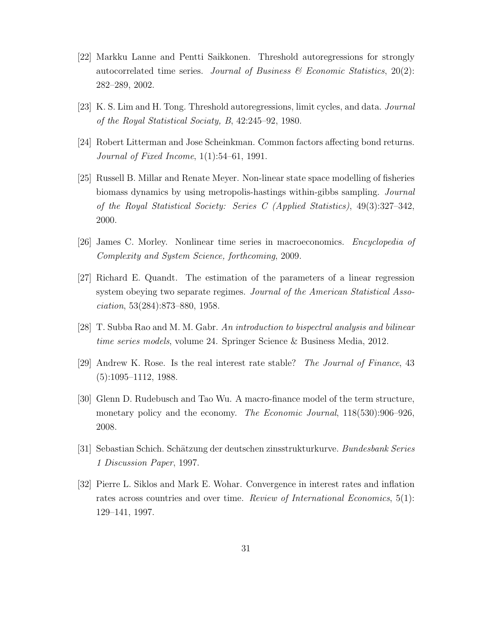- <span id="page-30-4"></span>[22] Markku Lanne and Pentti Saikkonen. Threshold autoregressions for strongly autocorrelated time series. Journal of Business  $\mathcal{B}$  Economic Statistics, 20(2): 282–289, 2002.
- <span id="page-30-3"></span>[23] K. S. Lim and H. Tong. Threshold autoregressions, limit cycles, and data. Journal of the Royal Statistical Sociaty, B, 42:245–92, 1980.
- <span id="page-30-8"></span>[24] Robert Litterman and Jose Scheinkman. Common factors affecting bond returns. Journal of Fixed Income, 1(1):54–61, 1991.
- <span id="page-30-6"></span>[25] Russell B. Millar and Renate Meyer. Non-linear state space modelling of fisheries biomass dynamics by using metropolis-hastings within-gibbs sampling. Journal of the Royal Statistical Society: Series C (Applied Statistics), 49(3):327–342, 2000.
- <span id="page-30-1"></span>[26] James C. Morley. Nonlinear time series in macroeconomics. Encyclopedia of Complexity and System Science, forthcoming, 2009.
- <span id="page-30-2"></span>[27] Richard E. Quandt. The estimation of the parameters of a linear regression system obeying two separate regimes. Journal of the American Statistical Association, 53(284):873–880, 1958.
- <span id="page-30-0"></span>[28] T. Subba Rao and M. M. Gabr. An introduction to bispectral analysis and bilinear time series models, volume 24. Springer Science & Business Media, 2012.
- <span id="page-30-9"></span>[29] Andrew K. Rose. Is the real interest rate stable? The Journal of Finance, 43 (5):1095–1112, 1988.
- <span id="page-30-5"></span>[30] Glenn D. Rudebusch and Tao Wu. A macro-finance model of the term structure, monetary policy and the economy. The Economic Journal, 118(530):906–926, 2008.
- <span id="page-30-7"></span>[31] Sebastian Schich. Schätzung der deutschen zinsstrukturkurve. Bundesbank Series 1 Discussion Paper, 1997.
- <span id="page-30-10"></span>[32] Pierre L. Siklos and Mark E. Wohar. Convergence in interest rates and inflation rates across countries and over time. Review of International Economics, 5(1): 129–141, 1997.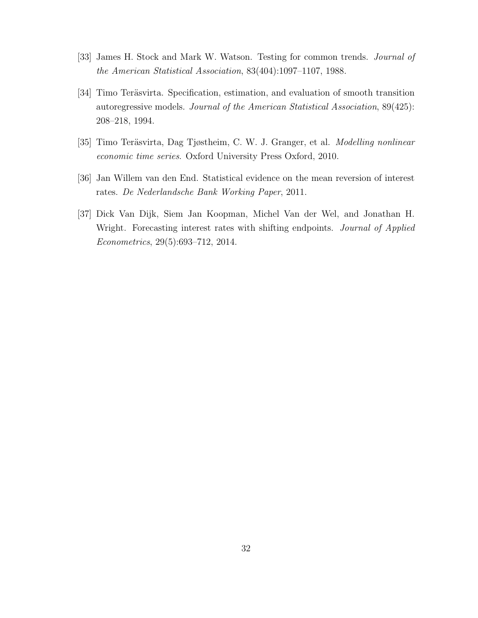- <span id="page-31-4"></span>[33] James H. Stock and Mark W. Watson. Testing for common trends. Journal of the American Statistical Association, 83(404):1097–1107, 1988.
- <span id="page-31-0"></span>[34] Timo Teräsvirta. Specification, estimation, and evaluation of smooth transition autoregressive models. Journal of the American Statistical Association, 89(425): 208–218, 1994.
- <span id="page-31-1"></span>[35] Timo Teräsvirta, Dag Tjøstheim, C. W. J. Granger, et al. *Modelling nonlinear* economic time series. Oxford University Press Oxford, 2010.
- <span id="page-31-3"></span>[36] Jan Willem van den End. Statistical evidence on the mean reversion of interest rates. De Nederlandsche Bank Working Paper, 2011.
- <span id="page-31-2"></span>[37] Dick Van Dijk, Siem Jan Koopman, Michel Van der Wel, and Jonathan H. Wright. Forecasting interest rates with shifting endpoints. *Journal of Applied* Econometrics, 29(5):693–712, 2014.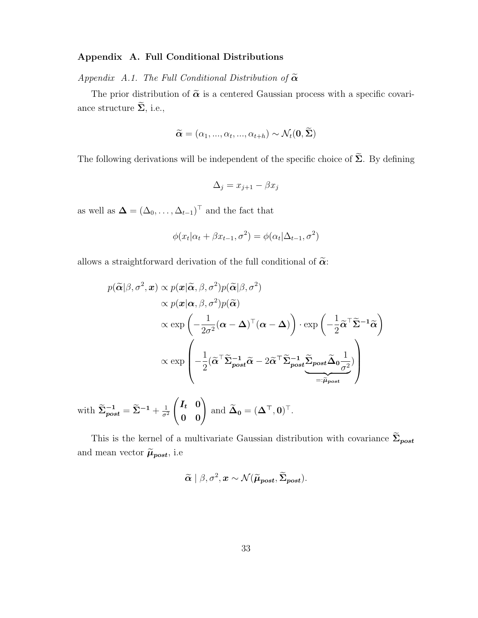### Appendix A. Full Conditional Distributions

<span id="page-32-0"></span>Appendix A.1. The Full Conditional Distribution of  $\tilde{\alpha}$ 

The prior distribution of  $\tilde{\alpha}$  is a centered Gaussian process with a specific covariance structure  $\widetilde{\Sigma}$ , i.e.,

$$
\widetilde{\boldsymbol{\alpha}} = (\alpha_1, ..., \alpha_t, ..., \alpha_{t+h}) \sim \mathcal{N}_t(\mathbf{0}, \boldsymbol{\Sigma})
$$

The following derivations will be independent of the specific choice of  $\widetilde{\Sigma}$ . By defining

$$
\Delta_j = x_{j+1} - \beta x_j
$$

as well as  $\mathbf{\Delta} = (\Delta_0, \ldots, \Delta_{t-1})^\top$  and the fact that

$$
\phi(x_t|\alpha_t + \beta x_{t-1}, \sigma^2) = \phi(\alpha_t|\Delta_{t-1}, \sigma^2)
$$

allows a straightforward derivation of the full conditional of  $\tilde{\alpha}$ :

$$
p(\widetilde{\alpha}|\beta, \sigma^2, \mathbf{x}) \propto p(\mathbf{x}|\widetilde{\alpha}, \beta, \sigma^2)p(\widetilde{\alpha}|\beta, \sigma^2)
$$
  
 
$$
\propto p(\mathbf{x}|\alpha, \beta, \sigma^2)p(\widetilde{\alpha})
$$
  
 
$$
\propto \exp\left(-\frac{1}{2\sigma^2}(\alpha - \Delta)^{\top}(\alpha - \Delta)\right) \cdot \exp\left(-\frac{1}{2}\widetilde{\alpha}^{\top}\widetilde{\Sigma}^{-1}\widetilde{\alpha}\right)
$$
  
 
$$
\propto \exp\left(-\frac{1}{2}(\widetilde{\alpha}^{\top}\widetilde{\Sigma}_{post}^{-1}\widetilde{\alpha} - 2\widetilde{\alpha}^{\top}\widetilde{\Sigma}_{post}^{-1}\widetilde{\Sigma}_{post}\widetilde{\Delta}_{0}\frac{1}{\sigma^2})\right)
$$
  
 
$$
\approx 1 \quad \approx 1 \quad (I, 0) \quad \approx 1 \quad \text{or} \quad \widetilde{\Delta}_{0} \approx 1 \quad \text{or} \quad \widetilde{\Delta}_{0} \approx 1 \quad \text{or} \quad \widetilde{\Delta}_{0} \approx 1 \quad \text{or} \quad \widetilde{\Delta}_{0} \approx 1 \quad \text{or} \quad \widetilde{\Delta}_{0} \approx 1 \quad \text{or} \quad \widetilde{\Delta}_{0} \approx 1 \quad \text{or} \quad \widetilde{\Delta}_{0} \approx 1 \quad \text{or} \quad \widetilde{\Delta}_{0} \approx 1 \quad \text{or} \quad \widetilde{\Delta}_{0} \approx 1 \quad \text{or} \quad \widetilde{\Delta}_{0} \approx 1 \quad \text{or} \quad \widetilde{\Delta}_{0} \approx 1 \quad \text{or} \quad \widetilde{\Delta}_{0} \approx 1 \quad \text{or} \quad \widetilde{\Delta}_{0} \approx 1 \quad \text{or} \quad \widetilde{\Delta}_{0} \approx 1 \quad \text{or} \quad \widetilde{\Delta}_{0} \approx 1 \quad \text{or} \quad \widetilde{\Delta}_{0} \approx 1 \quad \text{or} \quad \widetilde{\Delta}_{0} \approx 1 \quad \text{or} \quad \widetilde{\Delta}_{0} \approx 1 \quad \text{or} \quad \widetilde{\Delta}_{0} \approx 1 \quad \text{or} \quad \widetilde{\Delta}_{0} \approx
$$

with 
$$
\widetilde{\Sigma}_{post}^{-1} = \widetilde{\Sigma}^{-1} + \frac{1}{\sigma^2} \begin{pmatrix} I_t & 0 \\ 0 & 0 \end{pmatrix}
$$
 and  $\widetilde{\Delta}_0 = (\Delta^\top, 0)^\top$ .

This is the kernel of a multivariate Gaussian distribution with covariance  $\widetilde{\Sigma}_{post}$ and mean vector  $\widetilde{\mu}_{post}$  , i.e

$$
\widetilde{\alpha} | \beta, \sigma^2, \mathbf{x} \sim \mathcal{N}(\widetilde{\mu}_{post}, \widetilde{\Sigma}_{post}).
$$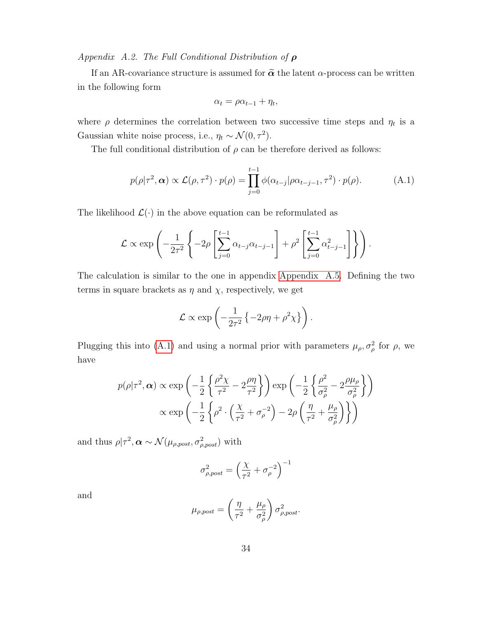Appendix A.2. The Full Conditional Distribution of  $\rho$ 

If an AR-covariance structure is assumed for  $\tilde{\alpha}$  the latent  $\alpha$ -process can be written in the following form

$$
\alpha_t = \rho \alpha_{t-1} + \eta_t,
$$

where  $\rho$  determines the correlation between two successive time steps and  $\eta_t$  is a Gaussian white noise process, i.e.,  $\eta_t \sim \mathcal{N}(0, \tau^2)$ .

The full conditional distribution of  $\rho$  can be therefore derived as follows:

<span id="page-33-0"></span>
$$
p(\rho|\tau^2,\alpha) \propto \mathcal{L}(\rho,\tau^2) \cdot p(\rho) = \prod_{j=0}^{t-1} \phi(\alpha_{t-j}|\rho \alpha_{t-j-1},\tau^2) \cdot p(\rho).
$$
 (A.1)

The likelihood  $\mathcal{L}(\cdot)$  in the above equation can be reformulated as

$$
\mathcal{L} \propto \exp\left(-\frac{1}{2\tau^2} \left\{-2\rho \left[\sum_{j=0}^{t-1} \alpha_{t-j} \alpha_{t-j-1}\right] + \rho^2 \left[\sum_{j=0}^{t-1} \alpha_{t-j-1}^2\right]\right\}\right).
$$

The calculation is similar to the one in appendix [Appendix A.5.](#page-36-1) Defining the two terms in square brackets as  $\eta$  and  $\chi$ , respectively, we get

$$
\mathcal{L} \propto \exp\left(-\frac{1}{2\tau^2}\left\{-2\rho\eta + \rho^2\chi\right\}\right).
$$

Plugging this into [\(A.1\)](#page-33-0) and using a normal prior with parameters  $\mu_{\rho}, \sigma_{\rho}^2$  for  $\rho$ , we have

$$
p(\rho|\tau^2, \alpha) \propto \exp\left(-\frac{1}{2}\left\{\frac{\rho^2 \chi}{\tau^2} - 2\frac{\rho \eta}{\tau^2}\right\}\right) \exp\left(-\frac{1}{2}\left\{\frac{\rho^2}{\sigma_\rho^2} - 2\frac{\rho \mu_\rho}{\sigma_\rho^2}\right\}\right)
$$

$$
\propto \exp\left(-\frac{1}{2}\left\{\rho^2 \cdot \left(\frac{\chi}{\tau^2} + \sigma_\rho^{-2}\right) - 2\rho\left(\frac{\eta}{\tau^2} + \frac{\mu_\rho}{\sigma_\rho^2}\right)\right\}\right)
$$

and thus  $\rho | \tau^2, \boldsymbol{\alpha} \sim \mathcal{N}(\mu_{\rho,post}, \sigma_{\rho,post}^2)$  with

$$
\sigma_{\rho,post}^2 = \left(\frac{\chi}{\tau^2} + \sigma_{\rho}^{-2}\right)^{-1}
$$

and

$$
\mu_{\rho,post} = \left(\frac{\eta}{\tau^2} + \frac{\mu_\rho}{\sigma_\rho^2}\right) \sigma_{\rho,post}^2.
$$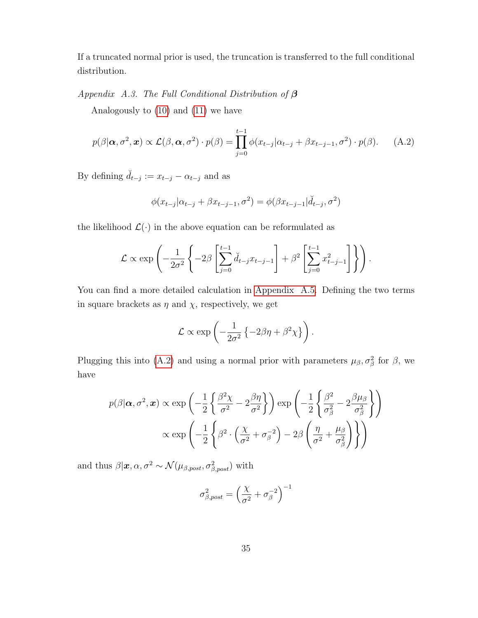If a truncated normal prior is used, the truncation is transferred to the full conditional distribution.

Appendix A.3. The Full Conditional Distribution of  $\beta$ 

Analogously to [\(10\)](#page-14-0) and [\(11\)](#page-14-1) we have

<span id="page-34-0"></span>
$$
p(\beta|\boldsymbol{\alpha}, \sigma^2, \boldsymbol{x}) \propto \mathcal{L}(\beta, \boldsymbol{\alpha}, \sigma^2) \cdot p(\beta) = \prod_{j=0}^{t-1} \phi(x_{t-j}|\alpha_{t-j} + \beta x_{t-j-1}, \sigma^2) \cdot p(\beta). \tag{A.2}
$$

By defining  $\check{d}_{t-j} := x_{t-j} - \alpha_{t-j}$  and as

$$
\phi(x_{t-j}|\alpha_{t-j} + \beta x_{t-j-1}, \sigma^2) = \phi(\beta x_{t-j-1}|\check{d}_{t-j}, \sigma^2)
$$

the likelihood  $\mathcal{L}(\cdot)$  in the above equation can be reformulated as

$$
\mathcal{L} \propto \exp\left(-\frac{1}{2\sigma^2} \left\{-2\beta \left[\sum_{j=0}^{t-1} \breve{d}_{t-j} x_{t-j-1}\right] + \beta^2 \left[\sum_{j=0}^{t-1} x_{t-j-1}^2\right]\right\}\right).
$$

You can find a more detailed calculation in [Appendix A.5.](#page-36-1) Defining the two terms in square brackets as  $\eta$  and  $\chi$ , respectively, we get

$$
\mathcal{L} \propto \exp\left(-\frac{1}{2\sigma^2} \left\{-2\beta\eta + \beta^2 \chi\right\}\right).
$$

Plugging this into [\(A.2\)](#page-34-0) and using a normal prior with parameters  $\mu_{\beta}, \sigma_{\beta}^2$  for  $\beta$ , we have

$$
p(\beta|\alpha, \sigma^2, \mathbf{x}) \propto \exp\left(-\frac{1}{2}\left\{\frac{\beta^2 \chi}{\sigma^2} - 2\frac{\beta \eta}{\sigma^2}\right\}\right) \exp\left(-\frac{1}{2}\left\{\frac{\beta^2}{\sigma_\beta^2} - 2\frac{\beta \mu_\beta}{\sigma_\beta^2}\right\}\right)
$$

$$
\propto \exp\left(-\frac{1}{2}\left\{\beta^2 \cdot \left(\frac{\chi}{\sigma^2} + \sigma_\beta^{-2}\right) - 2\beta\left(\frac{\eta}{\sigma^2} + \frac{\mu_\beta}{\sigma_\beta^2}\right)\right\}\right)
$$

and thus  $\beta | x, \alpha, \sigma^2 \sim \mathcal{N}(\mu_{\beta,post}, \sigma_{\beta,post}^2)$  with

$$
\sigma_{\beta,post}^2 = \left(\frac{\chi}{\sigma^2} + \sigma_{\beta}^{-2}\right)^{-1}
$$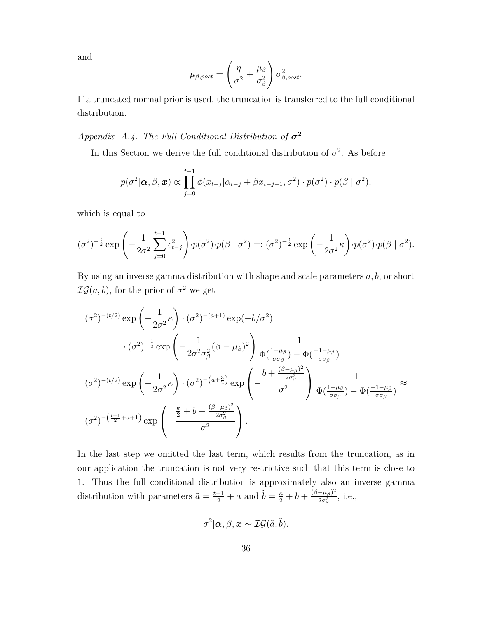and

$$
\mu_{\beta,post} = \left(\frac{\eta}{\sigma^2} + \frac{\mu_\beta}{\sigma_\beta^2}\right)\sigma_{\beta,post}^2.
$$

If a truncated normal prior is used, the truncation is transferred to the full conditional distribution.

<span id="page-35-0"></span>Appendix A.4. The Full Conditional Distribution of  $\sigma^2$ 

In this Section we derive the full conditional distribution of  $\sigma^2$ . As before

$$
p(\sigma^2|\boldsymbol{\alpha}, \beta, \boldsymbol{x}) \propto \prod_{j=0}^{t-1} \phi(x_{t-j}|\alpha_{t-j} + \beta x_{t-j-1}, \sigma^2) \cdot p(\sigma^2) \cdot p(\beta | \sigma^2),
$$

which is equal to

$$
(\sigma^2)^{-\frac{t}{2}} \exp\left(-\frac{1}{2\sigma^2} \sum_{j=0}^{t-1} \epsilon_{t-j}^2\right) \cdot p(\sigma^2) \cdot p(\beta \mid \sigma^2) =: (\sigma^2)^{-\frac{t}{2}} \exp\left(-\frac{1}{2\sigma^2} \kappa\right) \cdot p(\sigma^2) \cdot p(\beta \mid \sigma^2).
$$

By using an inverse gamma distribution with shape and scale parameters  $a, b$ , or short  $\mathcal{IG}(a, b)$ , for the prior of  $\sigma^2$  we get

$$
(\sigma^2)^{-(t/2)} \exp\left(-\frac{1}{2\sigma^2}\kappa\right) \cdot (\sigma^2)^{-(a+1)} \exp(-b/\sigma^2)
$$

$$
\cdot (\sigma^2)^{-\frac{1}{2}} \exp\left(-\frac{1}{2\sigma^2\sigma_\beta^2}(\beta-\mu_\beta)^2\right) \frac{1}{\Phi(\frac{1-\mu_\beta}{\sigma\sigma_\beta}) - \Phi(\frac{-1-\mu_\beta}{\sigma\sigma_\beta})} =
$$

$$
(\sigma^2)^{-(t/2)} \exp\left(-\frac{1}{2\sigma^2}\kappa\right) \cdot (\sigma^2)^{-(a+\frac{3}{2})} \exp\left(-\frac{b + \frac{(\beta-\mu_\beta)^2}{2\sigma_\beta^2}}{\sigma^2}\right) \frac{1}{\Phi(\frac{1-\mu_\beta}{\sigma\sigma_\beta}) - \Phi(\frac{-1-\mu_\beta}{\sigma\sigma_\beta})} \approx
$$

$$
(\sigma^2)^{-(\frac{t+1}{2}+a+1)} \exp\left(-\frac{\frac{\kappa}{2} + b + \frac{(\beta-\mu_\beta)^2}{2\sigma_\beta^2}}{\sigma^2}\right).
$$

In the last step we omitted the last term, which results from the truncation, as in our application the truncation is not very restrictive such that this term is close to 1. Thus the full conditional distribution is approximately also an inverse gamma distribution with parameters  $\tilde{a} = \frac{t+1}{2} + a$  and  $\tilde{b} = \frac{\kappa}{2} + b + \frac{(\beta - \mu_{\beta})^2}{2\sigma_a^2}$  $\frac{-\mu_{\beta} - \mu_{\beta}^2}{2\sigma_{\beta}^2}$ , i.e.,

$$
\sigma^2|\bm{\alpha}, \beta, \bm{x} \sim \mathcal{IG}(\tilde{a}, \tilde{b}).
$$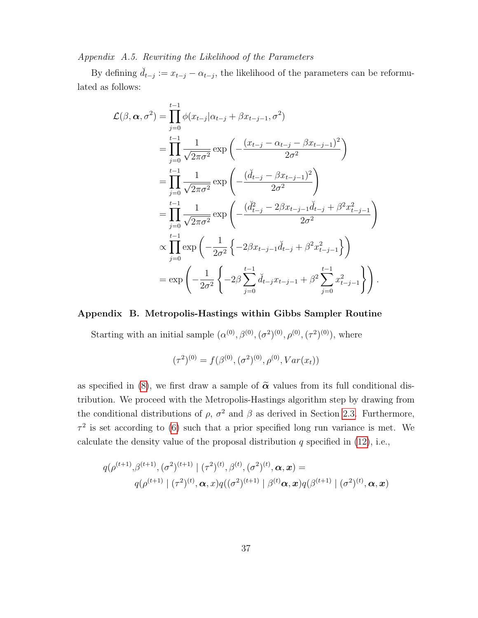<span id="page-36-1"></span>Appendix A.5. Rewriting the Likelihood of the Parameters

By defining  $\check{d}_{t-j} := x_{t-j} - \alpha_{t-j}$ , the likelihood of the parameters can be reformulated as follows:

$$
\mathcal{L}(\beta, \alpha, \sigma^2) = \prod_{j=0}^{t-1} \phi(x_{t-j}|\alpha_{t-j} + \beta x_{t-j-1}, \sigma^2)
$$
  
\n
$$
= \prod_{j=0}^{t-1} \frac{1}{\sqrt{2\pi\sigma^2}} \exp\left(-\frac{(x_{t-j} - \alpha_{t-j} - \beta x_{t-j-1})^2}{2\sigma^2}\right)
$$
  
\n
$$
= \prod_{j=0}^{t-1} \frac{1}{\sqrt{2\pi\sigma^2}} \exp\left(-\frac{(\breve{d}_{t-j} - \beta x_{t-j-1})^2}{2\sigma^2}\right)
$$
  
\n
$$
= \prod_{j=0}^{t-1} \frac{1}{\sqrt{2\pi\sigma^2}} \exp\left(-\frac{(\breve{d}_{t-j}^2 - 2\beta x_{t-j-1}\breve{d}_{t-j} + \beta^2 x_{t-j-1}^2)}{2\sigma^2}\right)
$$
  
\n
$$
\propto \prod_{j=0}^{t-1} \exp\left(-\frac{1}{2\sigma^2} \left\{-2\beta x_{t-j-1}\breve{d}_{t-j} + \beta^2 x_{t-j-1}^2\right\}\right)
$$
  
\n
$$
= \exp\left(-\frac{1}{2\sigma^2} \left\{-2\beta \sum_{j=0}^{t-1} \breve{d}_{t-j} x_{t-j-1} + \beta^2 \sum_{j=0}^{t-1} x_{t-j-1}^2\right\}\right).
$$

### <span id="page-36-0"></span>Appendix B. Metropolis-Hastings within Gibbs Sampler Routine

Starting with an initial sample  $(\alpha^{(0)}, \beta^{(0)}, (\sigma^2)^{(0)}, \rho^{(0)}, (\tau^2)^{(0)})$ , where

$$
(\tau^2)^{(0)} = f(\beta^{(0)}, (\sigma^2)^{(0)}, \rho^{(0)}, Var(x_t))
$$

as specified in [\(8\)](#page-11-1), we first draw a sample of  $\tilde{\alpha}$  values from its full conditional distribution. We proceed with the Metropolis-Hastings algorithm step by drawing from the conditional distributions of  $\rho$ ,  $\sigma^2$  and  $\beta$  as derived in Section [2.3.](#page-13-0) Furthermore,  $\tau^2$  is set according to [\(6\)](#page-10-1) such that a prior specified long run variance is met. We calculate the density value of the proposal distribution  $q$  specified in  $(12)$ , i.e.,

$$
q(\rho^{(t+1)},\beta^{(t+1)},(\sigma^2)^{(t+1)} | (\tau^2)^{(t)},\beta^{(t)},(\sigma^2)^{(t)},\boldsymbol{\alpha},\boldsymbol{x}) =
$$
  
 
$$
q(\rho^{(t+1)} | (\tau^2)^{(t)},\boldsymbol{\alpha},x)q((\sigma^2)^{(t+1)} | \beta^{(t)}\boldsymbol{\alpha},\boldsymbol{x})q(\beta^{(t+1)} | (\sigma^2)^{(t)},\boldsymbol{\alpha},\boldsymbol{x})
$$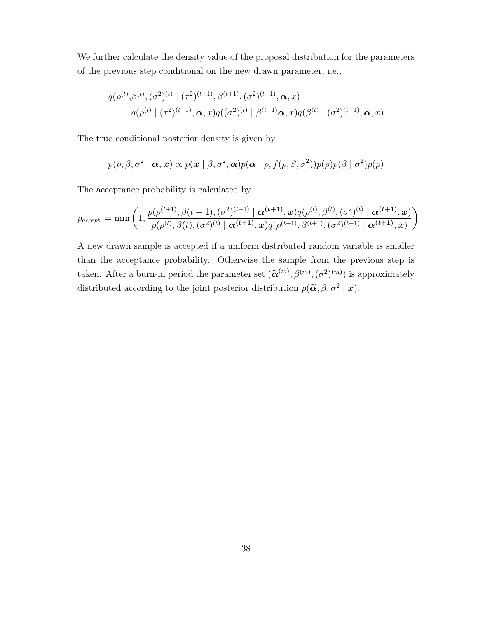We further calculate the density value of the proposal distribution for the parameters of the previous step conditional on the new drawn parameter, i.e.,

$$
q(\rho^{(t)},\beta^{(t)},(\sigma^2)^{(t)} \mid (\tau^2)^{(t+1)},\beta^{(t+1)},(\sigma^2)^{(t+1)},\boldsymbol{\alpha},x) =
$$
  
 
$$
q(\rho^{(t)} \mid (\tau^2)^{(t+1)},\boldsymbol{\alpha},x)q((\sigma^2)^{(t)} \mid \beta^{(t+1)}\boldsymbol{\alpha},x)q(\beta^{(t)} \mid (\sigma^2)^{(t+1)},\boldsymbol{\alpha},x)
$$

The true conditional posterior density is given by

$$
p(\rho,\beta,\sigma^2 \mid \boldsymbol{\alpha}, \boldsymbol{x}) \propto p(\boldsymbol{x} \mid \beta, \sigma^2, \boldsymbol{\alpha}) p(\boldsymbol{\alpha} \mid \rho, f(\rho,\beta,\sigma^2)) p(\rho) p(\beta \mid \sigma^2) p(\rho)
$$

The acceptance probability is calculated by

$$
p_{accept.} = \min\left(1, \frac{p(\rho^{(t+1)}, \beta(t+1), (\sigma^2)^{(t+1)} | \mathbf{\alpha}^{(t+1)}, \mathbf{x}) q(\rho^{(t)}, \beta^{(t)}, (\sigma^2)^{(t)} | \mathbf{\alpha}^{(t+1)}, \mathbf{x})}{p(\rho^{(t)}, \beta(t), (\sigma^2)^{(t)} | \mathbf{\alpha}^{(t+1)}, \mathbf{x}) q(\rho^{(t+1)}, \beta^{(t+1)}, (\sigma^2)^{(t+1)} | \mathbf{\alpha}^{(t+1)}, \mathbf{x})}\right)
$$

A new drawn sample is accepted if a uniform distributed random variable is smaller than the acceptance probability. Otherwise the sample from the previous step is taken. After a burn-in period the parameter set  $(\widetilde{\alpha}^{(m)}, \beta^{(m)}, (\sigma^2)^{(m)})$  is approximately distributed according to the joint posterior distribution  $p(\widetilde{\alpha}, \beta, \sigma^2 | \bm{x})$ .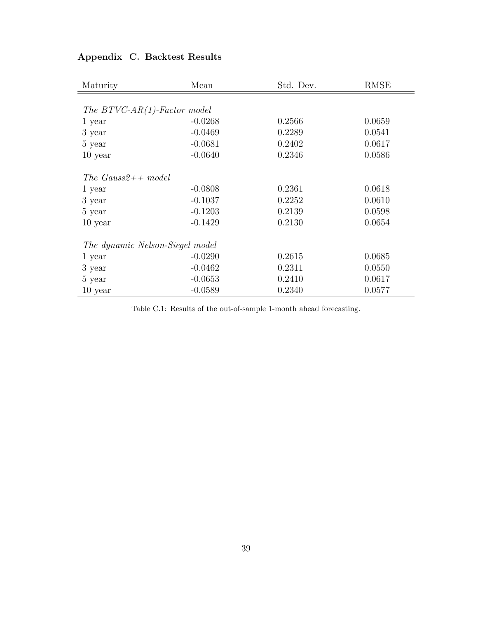<span id="page-38-0"></span>

| Maturity                        | Mean      | Std. Dev. | <b>RMSE</b> |
|---------------------------------|-----------|-----------|-------------|
|                                 |           |           |             |
| The $BTVC-AR(1)$ -Factor model  |           |           |             |
| 1 year                          | $-0.0268$ | 0.2566    | 0.0659      |
| 3 year                          | $-0.0469$ | 0.2289    | 0.0541      |
| 5 year                          | $-0.0681$ | 0.2402    | 0.0617      |
| $10$ year                       | $-0.0640$ | 0.2346    | 0.0586      |
| The Gauss2++ model              |           |           |             |
| 1 year                          | $-0.0808$ | 0.2361    | 0.0618      |
| 3 year                          | $-0.1037$ | 0.2252    | 0.0610      |
| 5 year                          | $-0.1203$ | 0.2139    | 0.0598      |
| 10 year                         | $-0.1429$ | 0.2130    | 0.0654      |
| The dynamic Nelson-Siegel model |           |           |             |
| 1 year                          | $-0.0290$ | 0.2615    | 0.0685      |
| 3 year                          | $-0.0462$ | 0.2311    | 0.0550      |
| 5 year                          | $-0.0653$ | 0.2410    | 0.0617      |
| $10$ year                       | $-0.0589$ | 0.2340    | 0.0577      |

# <span id="page-38-1"></span>Appendix C. Backtest Results

Table C.1: Results of the out-of-sample 1-month ahead forecasting.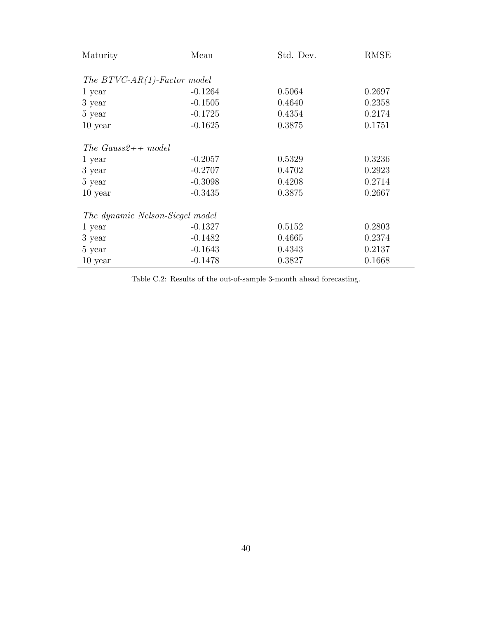| Maturity                        | Mean      | Std. Dev. | <b>RMSE</b> |
|---------------------------------|-----------|-----------|-------------|
|                                 |           |           |             |
| The $BTVC-AR(1)$ -Factor model  |           |           |             |
| 1 year                          | $-0.1264$ | 0.5064    | 0.2697      |
| 3 year                          | $-0.1505$ | 0.4640    | 0.2358      |
| 5 year                          | $-0.1725$ | 0.4354    | 0.2174      |
| $10$ year                       | $-0.1625$ | 0.3875    | 0.1751      |
| The Gauss2++ model              |           |           |             |
| 1 year                          | $-0.2057$ | 0.5329    | 0.3236      |
| 3 year                          | $-0.2707$ | 0.4702    | 0.2923      |
| 5 year                          | $-0.3098$ | 0.4208    | 0.2714      |
| $10$ year                       | $-0.3435$ | 0.3875    | 0.2667      |
| The dynamic Nelson-Siegel model |           |           |             |
| 1 year                          | $-0.1327$ | 0.5152    | 0.2803      |
| 3 year                          | $-0.1482$ | 0.4665    | 0.2374      |
| 5 year                          | $-0.1643$ | 0.4343    | 0.2137      |
| $10$ year                       | $-0.1478$ | 0.3827    | 0.1668      |

Table C.2: Results of the out-of-sample 3-month ahead forecasting.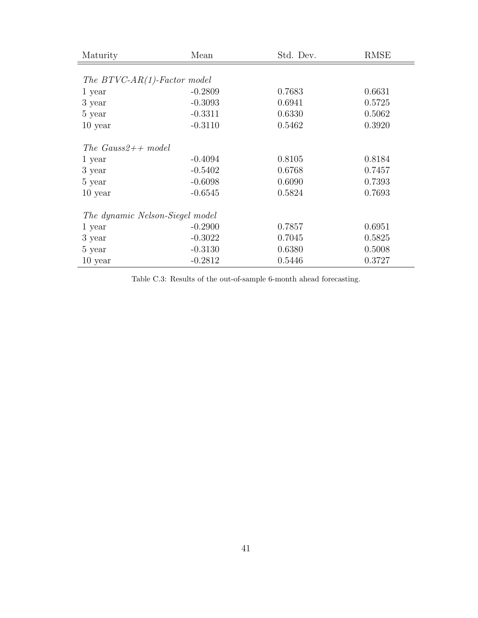| Maturity                        | Mean      | Std. Dev. | <b>RMSE</b> |
|---------------------------------|-----------|-----------|-------------|
|                                 |           |           |             |
| The $BTVC-AR(1)$ -Factor model  |           |           |             |
| 1 year                          | $-0.2809$ | 0.7683    | 0.6631      |
| 3 year                          | $-0.3093$ | 0.6941    | 0.5725      |
| 5 year                          | $-0.3311$ | 0.6330    | 0.5062      |
| $10$ year                       | $-0.3110$ | 0.5462    | 0.3920      |
| The Gauss2++ model              |           |           |             |
| 1 year                          | $-0.4094$ | 0.8105    | 0.8184      |
| 3 year                          | $-0.5402$ | 0.6768    | 0.7457      |
| 5 year                          | $-0.6098$ | 0.6090    | 0.7393      |
| $10$ year                       | $-0.6545$ | 0.5824    | 0.7693      |
| The dynamic Nelson-Siegel model |           |           |             |
| 1 year                          | $-0.2900$ | 0.7857    | 0.6951      |
| 3 year                          | $-0.3022$ | 0.7045    | 0.5825      |
| 5 year                          | $-0.3130$ | 0.6380    | 0.5008      |
| $10$ year                       | $-0.2812$ | 0.5446    | 0.3727      |

Table C.3: Results of the out-of-sample 6-month ahead forecasting.